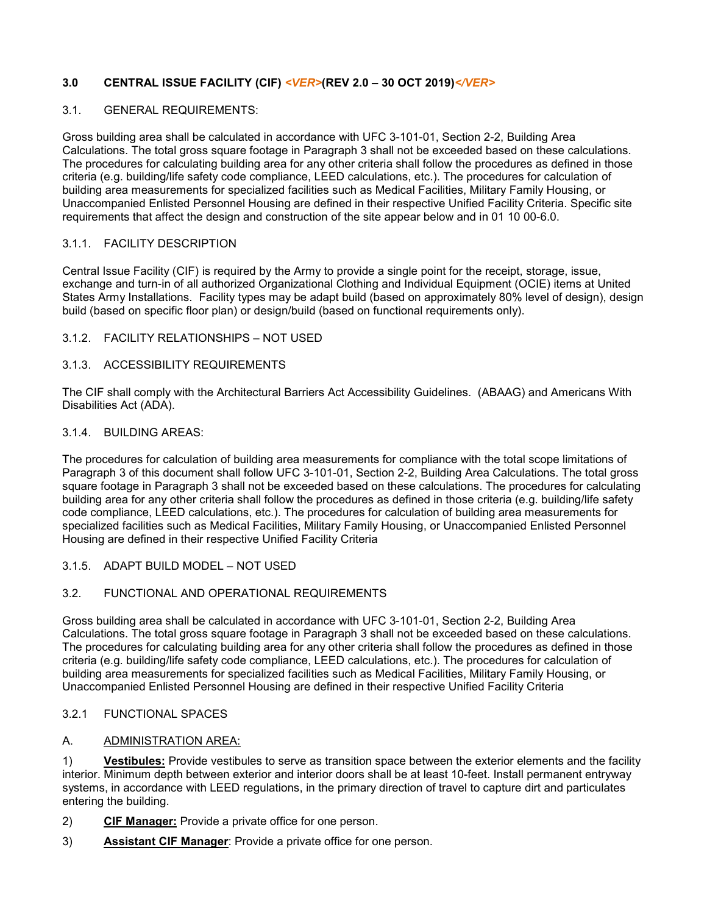# **3.0 CENTRAL ISSUE FACILITY (CIF)** *<VER>***(REV 2.0 – 30 OCT 2019)***</VER>*

#### 3.1. GENERAL REQUIREMENTS:

Gross building area shall be calculated in accordance with UFC 3-101-01, Section 2-2, Building Area Calculations. The total gross square footage in Paragraph 3 shall not be exceeded based on these calculations. The procedures for calculating building area for any other criteria shall follow the procedures as defined in those criteria (e.g. building/life safety code compliance, LEED calculations, etc.). The procedures for calculation of building area measurements for specialized facilities such as Medical Facilities, Military Family Housing, or Unaccompanied Enlisted Personnel Housing are defined in their respective Unified Facility Criteria. Specific site requirements that affect the design and construction of the site appear below and in 01 10 00-6.0.

#### 3.1.1. FACILITY DESCRIPTION

Central Issue Facility (CIF) is required by the Army to provide a single point for the receipt, storage, issue, exchange and turn-in of all authorized Organizational Clothing and Individual Equipment (OCIE) items at United States Army Installations. Facility types may be adapt build (based on approximately 80% level of design), design build (based on specific floor plan) or design/build (based on functional requirements only).

#### 3.1.2. FACILITY RELATIONSHIPS – NOT USED

### 3.1.3. ACCESSIBILITY REQUIREMENTS

The CIF shall comply with the Architectural Barriers Act Accessibility Guidelines. (ABAAG) and Americans With Disabilities Act (ADA).

### 3.1.4. BUILDING AREAS:

The procedures for calculation of building area measurements for compliance with the total scope limitations of Paragraph 3 of this document shall follow UFC 3-101-01, Section 2-2, Building Area Calculations. The total gross square footage in Paragraph 3 shall not be exceeded based on these calculations. The procedures for calculating building area for any other criteria shall follow the procedures as defined in those criteria (e.g. building/life safety code compliance, LEED calculations, etc.). The procedures for calculation of building area measurements for specialized facilities such as Medical Facilities, Military Family Housing, or Unaccompanied Enlisted Personnel Housing are defined in their respective Unified Facility Criteria

#### 3.1.5. ADAPT BUILD MODEL – NOT USED

### 3.2. FUNCTIONAL AND OPERATIONAL REQUIREMENTS

Gross building area shall be calculated in accordance with UFC 3-101-01, Section 2-2, Building Area Calculations. The total gross square footage in Paragraph 3 shall not be exceeded based on these calculations. The procedures for calculating building area for any other criteria shall follow the procedures as defined in those criteria (e.g. building/life safety code compliance, LEED calculations, etc.). The procedures for calculation of building area measurements for specialized facilities such as Medical Facilities, Military Family Housing, or Unaccompanied Enlisted Personnel Housing are defined in their respective Unified Facility Criteria

### 3.2.1 FUNCTIONAL SPACES

#### A. ADMINISTRATION AREA:

1) **Vestibules:** Provide vestibules to serve as transition space between the exterior elements and the facility interior. Minimum depth between exterior and interior doors shall be at least 10-feet. Install permanent entryway systems, in accordance with LEED regulations, in the primary direction of travel to capture dirt and particulates entering the building.

- 2) **CIF Manager:** Provide a private office for one person.
- 3) **Assistant CIF Manager**: Provide a private office for one person.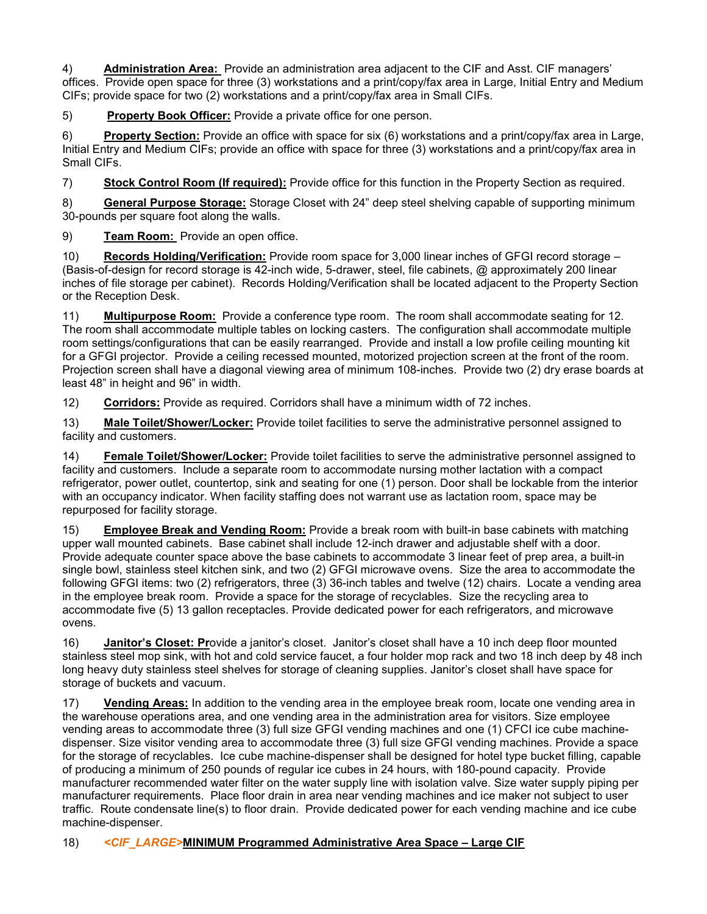4) **Administration Area:** Provide an administration area adjacent to the CIF and Asst. CIF managers' offices. Provide open space for three (3) workstations and a print/copy/fax area in Large, Initial Entry and Medium CIFs; provide space for two (2) workstations and a print/copy/fax area in Small CIFs.

5) **Property Book Officer:** Provide a private office for one person.

6) **Property Section:** Provide an office with space for six (6) workstations and a print/copy/fax area in Large, Initial Entry and Medium CIFs; provide an office with space for three (3) workstations and a print/copy/fax area in Small CIFs.

7) **Stock Control Room (If required):** Provide office for this function in the Property Section as required.

8) **General Purpose Storage:** Storage Closet with 24" deep steel shelving capable of supporting minimum 30-pounds per square foot along the walls.

9) **Team Room:** Provide an open office.

10) **Records Holding/Verification:** Provide room space for 3,000 linear inches of GFGI record storage – (Basis-of-design for record storage is 42-inch wide, 5-drawer, steel, file cabinets, @ approximately 200 linear inches of file storage per cabinet). Records Holding/Verification shall be located adjacent to the Property Section or the Reception Desk.

11) **Multipurpose Room:** Provide a conference type room. The room shall accommodate seating for 12. The room shall accommodate multiple tables on locking casters. The configuration shall accommodate multiple room settings/configurations that can be easily rearranged. Provide and install a low profile ceiling mounting kit for a GFGI projector. Provide a ceiling recessed mounted, motorized projection screen at the front of the room. Projection screen shall have a diagonal viewing area of minimum 108-inches. Provide two (2) dry erase boards at least 48" in height and 96" in width.

12) **Corridors:** Provide as required. Corridors shall have a minimum width of 72 inches.

13) **Male Toilet/Shower/Locker:** Provide toilet facilities to serve the administrative personnel assigned to facility and customers.

14) **Female Toilet/Shower/Locker:** Provide toilet facilities to serve the administrative personnel assigned to facility and customers. Include a separate room to accommodate nursing mother lactation with a compact refrigerator, power outlet, countertop, sink and seating for one (1) person. Door shall be lockable from the interior with an occupancy indicator. When facility staffing does not warrant use as lactation room, space may be repurposed for facility storage.

15) **Employee Break and Vending Room:** Provide a break room with built-in base cabinets with matching upper wall mounted cabinets. Base cabinet shall include 12-inch drawer and adjustable shelf with a door. Provide adequate counter space above the base cabinets to accommodate 3 linear feet of prep area, a built-in single bowl, stainless steel kitchen sink, and two (2) GFGI microwave ovens. Size the area to accommodate the following GFGI items: two (2) refrigerators, three (3) 36-inch tables and twelve (12) chairs. Locate a vending area in the employee break room. Provide a space for the storage of recyclables. Size the recycling area to accommodate five (5) 13 gallon receptacles. Provide dedicated power for each refrigerators, and microwave ovens.

16) **Janitor's Closet: Pr**ovide a janitor's closet. Janitor's closet shall have a 10 inch deep floor mounted stainless steel mop sink, with hot and cold service faucet, a four holder mop rack and two 18 inch deep by 48 inch long heavy duty stainless steel shelves for storage of cleaning supplies. Janitor's closet shall have space for storage of buckets and vacuum.

17) **Vending Areas:** In addition to the vending area in the employee break room, locate one vending area in the warehouse operations area, and one vending area in the administration area for visitors. Size employee vending areas to accommodate three (3) full size GFGI vending machines and one (1) CFCI ice cube machinedispenser. Size visitor vending area to accommodate three (3) full size GFGI vending machines. Provide a space for the storage of recyclables. Ice cube machine-dispenser shall be designed for hotel type bucket filling, capable of producing a minimum of 250 pounds of regular ice cubes in 24 hours, with 180-pound capacity. Provide manufacturer recommended water filter on the water supply line with isolation valve. Size water supply piping per manufacturer requirements. Place floor drain in area near vending machines and ice maker not subject to user traffic. Route condensate line(s) to floor drain. Provide dedicated power for each vending machine and ice cube machine-dispenser.

# 18) *<CIF\_LARGE>***MINIMUM Programmed Administrative Area Space – Large CIF**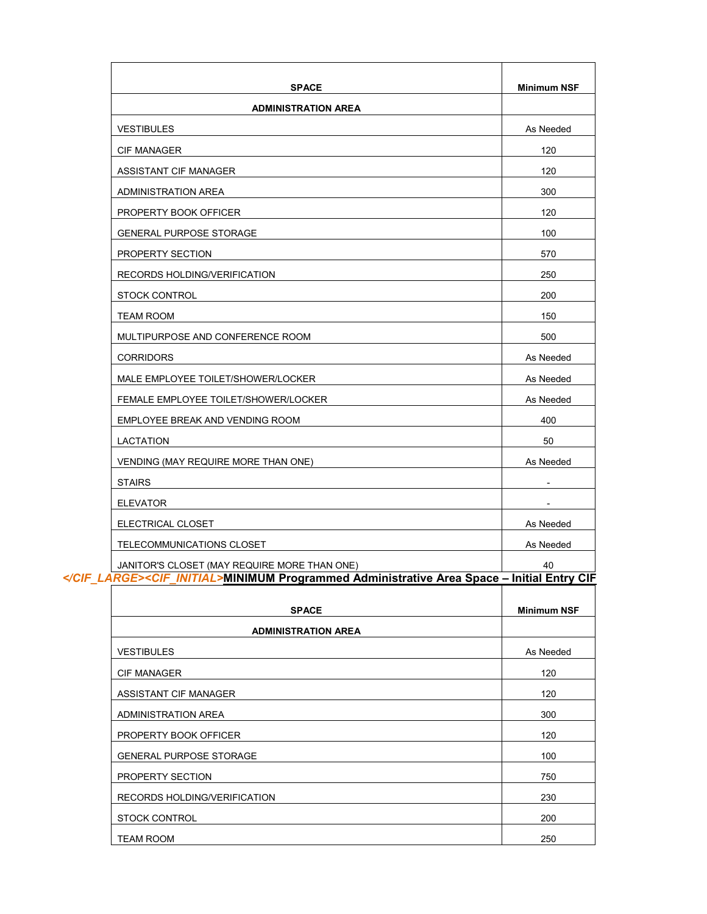| <b>SPACE</b>                                                                                                                                | <b>Minimum NSF</b> |
|---------------------------------------------------------------------------------------------------------------------------------------------|--------------------|
| <b>ADMINISTRATION AREA</b>                                                                                                                  |                    |
| <b>VESTIBULES</b>                                                                                                                           | As Needed          |
| <b>CIF MANAGER</b>                                                                                                                          | 120                |
| ASSISTANT CIF MANAGER                                                                                                                       | 120                |
| <b>ADMINISTRATION AREA</b>                                                                                                                  | 300                |
| PROPERTY BOOK OFFICER                                                                                                                       | 120                |
| <b>GENERAL PURPOSE STORAGE</b>                                                                                                              | 100                |
| PROPERTY SECTION                                                                                                                            | 570                |
| RECORDS HOLDING/VERIFICATION                                                                                                                | 250                |
| <b>STOCK CONTROL</b>                                                                                                                        | 200                |
| <b>TEAM ROOM</b>                                                                                                                            | 150                |
| MULTIPURPOSE AND CONFERENCE ROOM                                                                                                            | 500                |
| <b>CORRIDORS</b>                                                                                                                            | As Needed          |
| MALE EMPLOYEE TOILET/SHOWER/LOCKER                                                                                                          | As Needed          |
| FEMALE EMPLOYEE TOILET/SHOWER/LOCKER                                                                                                        | As Needed          |
| EMPLOYEE BREAK AND VENDING ROOM                                                                                                             | 400                |
| LACTATION                                                                                                                                   | 50                 |
| VENDING (MAY REQUIRE MORE THAN ONE)                                                                                                         | As Needed          |
| <b>STAIRS</b>                                                                                                                               | ۰                  |
| <b>ELEVATOR</b>                                                                                                                             |                    |
| ELECTRICAL CLOSET                                                                                                                           | As Needed          |
| TELECOMMUNICATIONS CLOSET                                                                                                                   | As Needed          |
| JANITOR'S CLOSET (MAY REQUIRE MORE THAN ONE)<br><cif_initial>MINIMUM Programmed Administrative Area Space - Initial Entry CIF</cif_initial> | 40                 |
| <b>SPACE</b>                                                                                                                                | <b>Minimum NSF</b> |
| <b>ADMINISTRATION AREA</b>                                                                                                                  |                    |
| <b>VESTIBULES</b>                                                                                                                           | As Needed          |
| <b>CIF MANAGER</b>                                                                                                                          | 120                |
| ASSISTANT CIF MANAGER                                                                                                                       | 120                |
| ADMINISTRATION AREA                                                                                                                         | 300                |
| PROPERTY BOOK OFFICER                                                                                                                       | 120                |
| <b>GENERAL PURPOSE STORAGE</b>                                                                                                              | 100                |
| PROPERTY SECTION                                                                                                                            | 750                |
| RECORDS HOLDING/VERIFICATION                                                                                                                | 230                |
| STOCK CONTROL                                                                                                                               | 200                |
|                                                                                                                                             |                    |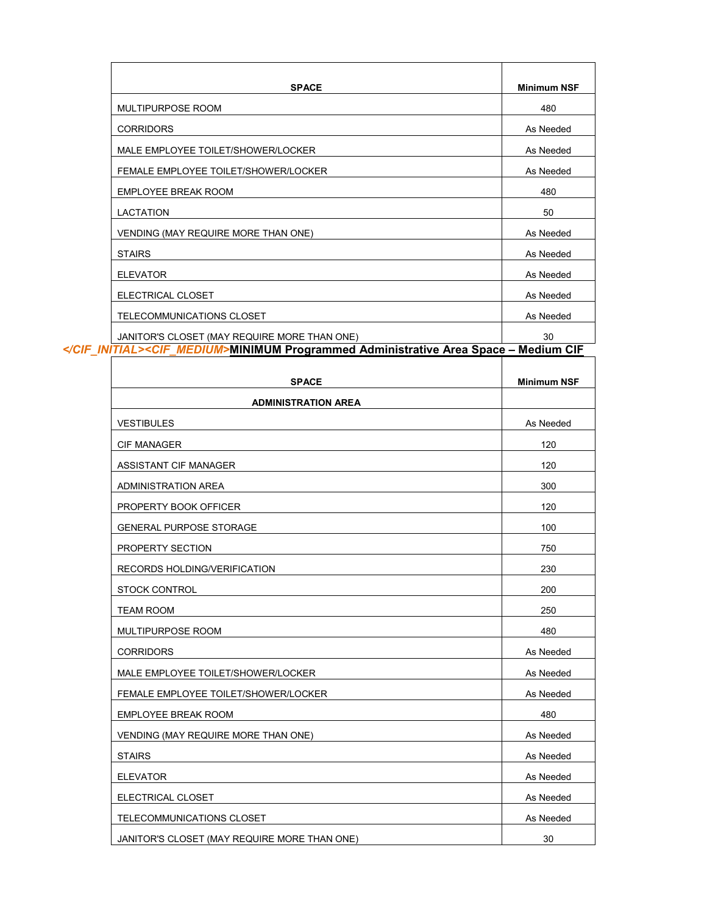| <b>SPACE</b>                                                                   | <b>Minimum NSF</b> |
|--------------------------------------------------------------------------------|--------------------|
| <b>MULTIPURPOSE ROOM</b>                                                       | 480                |
| <b>CORRIDORS</b>                                                               | As Needed          |
| MALE EMPLOYEE TOILET/SHOWER/LOCKER                                             | As Needed          |
| FEMALE EMPLOYEE TOILET/SHOWER/LOCKER                                           | As Needed          |
| <b>EMPLOYEE BREAK ROOM</b>                                                     | 480                |
| <b>LACTATION</b>                                                               | 50                 |
| VENDING (MAY REQUIRE MORE THAN ONE)                                            | As Needed          |
| <b>STAIRS</b>                                                                  | As Needed          |
| <b>ELEVATOR</b>                                                                | As Needed          |
| ELECTRICAL CLOSET                                                              | As Needed          |
| TELECOMMUNICATIONS CLOSET                                                      | As Needed          |
| JANITOR'S CLOSET (MAY REQUIRE MORE THAN ONE)                                   | 30                 |
| <cif medium="">MINIMUM Programmed Administrative Area Space - Medium CIF</cif> |                    |

| <b>SPACE</b>                                 | <b>Minimum NSF</b> |
|----------------------------------------------|--------------------|
| <b>ADMINISTRATION AREA</b>                   |                    |
| <b>VESTIBULES</b>                            | As Needed          |
| <b>CIF MANAGER</b>                           | 120                |
| ASSISTANT CIF MANAGER                        | 120                |
| <b>ADMINISTRATION AREA</b>                   | 300                |
| PROPERTY BOOK OFFICER                        | 120                |
| <b>GENERAL PURPOSE STORAGE</b>               | 100                |
| PROPERTY SECTION                             | 750                |
| RECORDS HOLDING/VERIFICATION                 | 230                |
| <b>STOCK CONTROL</b>                         | 200                |
| <b>TEAM ROOM</b>                             | 250                |
| MULTIPURPOSE ROOM                            | 480                |
| <b>CORRIDORS</b>                             | As Needed          |
| MALE EMPLOYEE TOILET/SHOWER/LOCKER           | As Needed          |
| FEMALE EMPLOYEE TOILET/SHOWER/LOCKER         | As Needed          |
| <b>EMPLOYEE BREAK ROOM</b>                   | 480                |
| VENDING (MAY REQUIRE MORE THAN ONE)          | As Needed          |
| <b>STAIRS</b>                                | As Needed          |
| <b>ELEVATOR</b>                              | As Needed          |
| ELECTRICAL CLOSET                            | As Needed          |
| TELECOMMUNICATIONS CLOSET                    | As Needed          |
| JANITOR'S CLOSET (MAY REQUIRE MORE THAN ONE) | 30                 |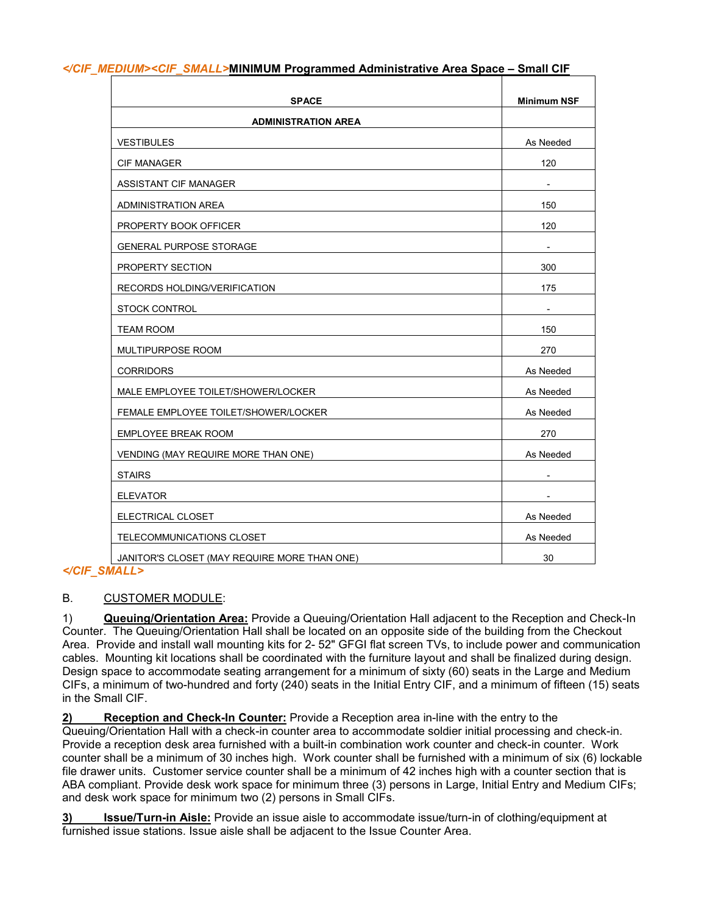| <b>SPACE</b>                                 | <b>Minimum NSF</b> |
|----------------------------------------------|--------------------|
| <b>ADMINISTRATION AREA</b>                   |                    |
| <b>VESTIBULES</b>                            | As Needed          |
| <b>CIF MANAGER</b>                           | 120                |
| ASSISTANT CIF MANAGER                        |                    |
| <b>ADMINISTRATION AREA</b>                   | 150                |
| PROPERTY BOOK OFFICER                        | 120                |
| GENERAL PURPOSE STORAGE                      |                    |
| PROPERTY SECTION                             | 300                |
| RECORDS HOLDING/VERIFICATION                 | 175                |
| <b>STOCK CONTROL</b>                         |                    |
| <b>TEAM ROOM</b>                             | 150                |
| MULTIPURPOSE ROOM                            | 270                |
| <b>CORRIDORS</b>                             | As Needed          |
| MALE EMPLOYEE TOILET/SHOWER/LOCKER           | As Needed          |
| FEMALE EMPLOYEE TOILET/SHOWER/LOCKER         | As Needed          |
| <b>EMPLOYEE BREAK ROOM</b>                   | 270                |
| VENDING (MAY REQUIRE MORE THAN ONE)          | As Needed          |
| <b>STAIRS</b>                                |                    |
| <b>ELEVATOR</b>                              | ۰                  |
| ELECTRICAL CLOSET                            | As Needed          |
| TELECOMMUNICATIONS CLOSET                    | As Needed          |
| JANITOR'S CLOSET (MAY REQUIRE MORE THAN ONE) | 30                 |

#### *</CIF\_MEDIUM><CIF\_SMALL>***MINIMUM Programmed Administrative Area Space – Small CIF**

### *</CIF\_SMALL>*

### B. CUSTOMER MODULE:

1) **Queuing/Orientation Area:** Provide a Queuing/Orientation Hall adjacent to the Reception and Check-In Counter. The Queuing/Orientation Hall shall be located on an opposite side of the building from the Checkout Area. Provide and install wall mounting kits for 2- 52" GFGI flat screen TVs, to include power and communication cables. Mounting kit locations shall be coordinated with the furniture layout and shall be finalized during design. Design space to accommodate seating arrangement for a minimum of sixty (60) seats in the Large and Medium CIFs, a minimum of two-hundred and forty (240) seats in the Initial Entry CIF, and a minimum of fifteen (15) seats in the Small CIF.

**2) Reception and Check-In Counter:** Provide a Reception area in-line with the entry to the

Queuing/Orientation Hall with a check-in counter area to accommodate soldier initial processing and check-in. Provide a reception desk area furnished with a built-in combination work counter and check-in counter. Work counter shall be a minimum of 30 inches high. Work counter shall be furnished with a minimum of six (6) lockable file drawer units. Customer service counter shall be a minimum of 42 inches high with a counter section that is ABA compliant. Provide desk work space for minimum three (3) persons in Large, Initial Entry and Medium CIFs; and desk work space for minimum two (2) persons in Small CIFs.

**3) Issue/Turn-in Aisle:** Provide an issue aisle to accommodate issue/turn-in of clothing/equipment at furnished issue stations. Issue aisle shall be adjacent to the Issue Counter Area.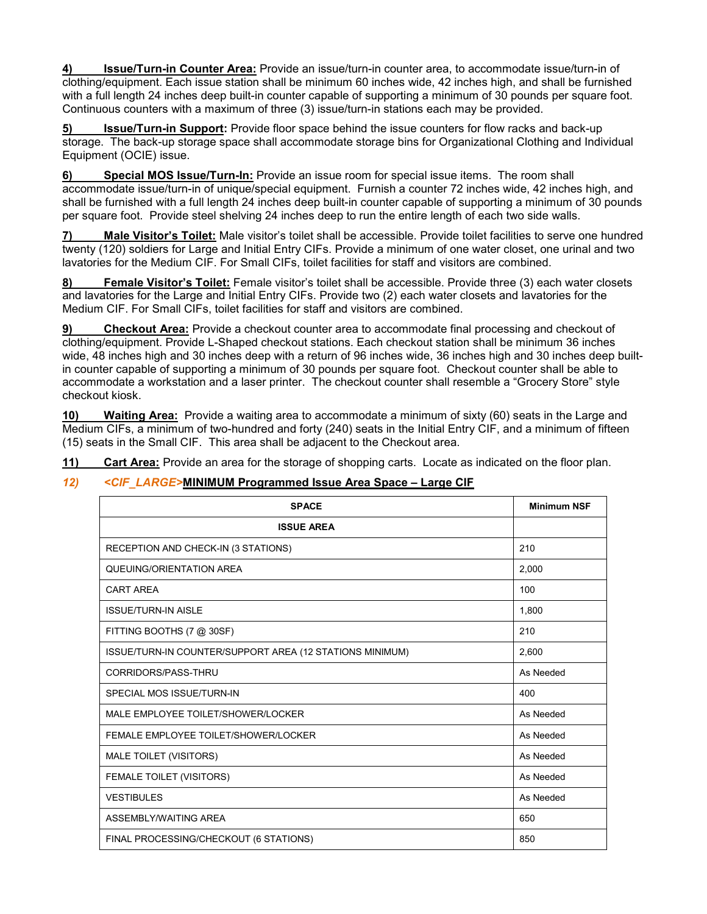**4) Issue/Turn-in Counter Area:** Provide an issue/turn-in counter area, to accommodate issue/turn-in of clothing/equipment. Each issue station shall be minimum 60 inches wide, 42 inches high, and shall be furnished with a full length 24 inches deep built-in counter capable of supporting a minimum of 30 pounds per square foot. Continuous counters with a maximum of three (3) issue/turn-in stations each may be provided.

**5) Issue/Turn-in Support:** Provide floor space behind the issue counters for flow racks and back-up storage. The back-up storage space shall accommodate storage bins for Organizational Clothing and Individual Equipment (OCIE) issue.

**6) Special MOS Issue/Turn-In:** Provide an issue room for special issue items. The room shall accommodate issue/turn-in of unique/special equipment. Furnish a counter 72 inches wide, 42 inches high, and shall be furnished with a full length 24 inches deep built-in counter capable of supporting a minimum of 30 pounds per square foot. Provide steel shelving 24 inches deep to run the entire length of each two side walls.

**7) Male Visitor's Toilet:** Male visitor's toilet shall be accessible. Provide toilet facilities to serve one hundred twenty (120) soldiers for Large and Initial Entry CIFs. Provide a minimum of one water closet, one urinal and two lavatories for the Medium CIF. For Small CIFs, toilet facilities for staff and visitors are combined.

**8) Female Visitor's Toilet:** Female visitor's toilet shall be accessible. Provide three (3) each water closets and lavatories for the Large and Initial Entry CIFs. Provide two (2) each water closets and lavatories for the Medium CIF. For Small CIFs, toilet facilities for staff and visitors are combined.

**9) Checkout Area:** Provide a checkout counter area to accommodate final processing and checkout of clothing/equipment. Provide L-Shaped checkout stations. Each checkout station shall be minimum 36 inches wide, 48 inches high and 30 inches deep with a return of 96 inches wide, 36 inches high and 30 inches deep builtin counter capable of supporting a minimum of 30 pounds per square foot. Checkout counter shall be able to accommodate a workstation and a laser printer. The checkout counter shall resemble a "Grocery Store" style checkout kiosk.

**10) Waiting Area:** Provide a waiting area to accommodate a minimum of sixty (60) seats in the Large and Medium CIFs, a minimum of two-hundred and forty (240) seats in the Initial Entry CIF, and a minimum of fifteen (15) seats in the Small CIF. This area shall be adjacent to the Checkout area.

**11) Cart Area:** Provide an area for the storage of shopping carts. Locate as indicated on the floor plan.

# *12) <CIF\_LARGE>***MINIMUM Programmed Issue Area Space – Large CIF**

| <b>SPACE</b>                                             | <b>Minimum NSF</b> |  |  |
|----------------------------------------------------------|--------------------|--|--|
| <b>ISSUE AREA</b>                                        |                    |  |  |
| RECEPTION AND CHECK-IN (3 STATIONS)                      | 210                |  |  |
| QUEUING/ORIENTATION AREA                                 | 2,000              |  |  |
| <b>CART AREA</b>                                         | 100                |  |  |
| <b>ISSUE/TURN-IN AISLE</b>                               | 1,800              |  |  |
| FITTING BOOTHS (7 @ 30SF)                                | 210                |  |  |
| ISSUE/TURN-IN COUNTER/SUPPORT AREA (12 STATIONS MINIMUM) | 2,600              |  |  |
| CORRIDORS/PASS-THRU                                      | As Needed          |  |  |
| SPECIAL MOS ISSUE/TURN-IN                                | 400                |  |  |
| MALE EMPLOYEE TOILET/SHOWER/LOCKER                       | As Needed          |  |  |
| FEMALE EMPLOYEE TOILET/SHOWER/LOCKER                     | As Needed          |  |  |
| MALE TOILET (VISITORS)                                   | As Needed          |  |  |
| FEMALE TOILET (VISITORS)                                 | As Needed          |  |  |
| <b>VESTIBULES</b>                                        | As Needed          |  |  |
| ASSEMBLY/WAITING AREA                                    | 650                |  |  |
| FINAL PROCESSING/CHECKOUT (6 STATIONS)                   | 850                |  |  |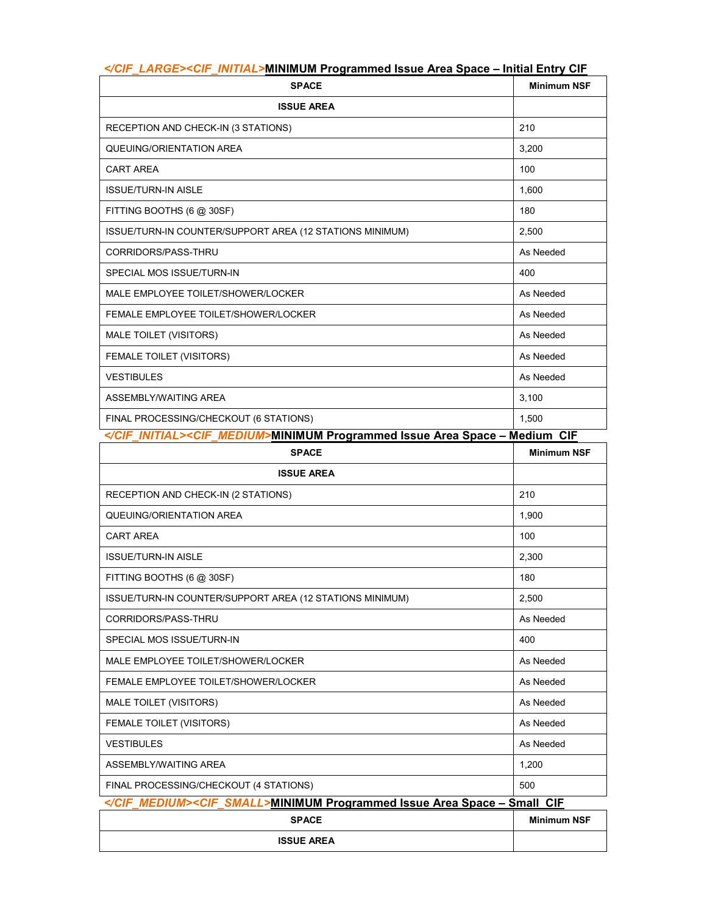| <b>Martin La</b> Mintenneum i Togrammoa 100au 7 a oa Upaou<br><b>SPACE</b>                                  | <b>Minimum NSF</b> |  |  |  |  |
|-------------------------------------------------------------------------------------------------------------|--------------------|--|--|--|--|
| <b>ISSUE AREA</b>                                                                                           |                    |  |  |  |  |
| RECEPTION AND CHECK-IN (3 STATIONS)                                                                         | 210                |  |  |  |  |
| QUEUING/ORIENTATION AREA                                                                                    | 3,200              |  |  |  |  |
| <b>CART AREA</b>                                                                                            | 100                |  |  |  |  |
| <b>ISSUE/TURN-IN AISLE</b>                                                                                  | 1,600              |  |  |  |  |
| FITTING BOOTHS (6 @ 30SF)                                                                                   | 180                |  |  |  |  |
| ISSUE/TURN-IN COUNTER/SUPPORT AREA (12 STATIONS MINIMUM)                                                    | 2,500              |  |  |  |  |
| CORRIDORS/PASS-THRU                                                                                         | As Needed          |  |  |  |  |
| SPECIAL MOS ISSUE/TURN-IN                                                                                   | 400                |  |  |  |  |
| MALE EMPLOYEE TOILET/SHOWER/LOCKER                                                                          | As Needed          |  |  |  |  |
| FEMALE EMPLOYEE TOILET/SHOWER/LOCKER                                                                        | As Needed          |  |  |  |  |
| MALE TOILET (VISITORS)                                                                                      | As Needed          |  |  |  |  |
| FEMALE TOILET (VISITORS)                                                                                    | As Needed          |  |  |  |  |
| <b>VESTIBULES</b>                                                                                           | As Needed          |  |  |  |  |
| ASSEMBLY/WAITING AREA                                                                                       | 3,100              |  |  |  |  |
| FINAL PROCESSING/CHECKOUT (6 STATIONS)<br>$A/$ $AIP$ interests a $AIP$ interest that building the $D_{max}$ | 1,500<br>$\sim$    |  |  |  |  |

#### *</CIF\_LARGE><CIF\_INITIAL>***MINIMUM Programmed Issue Area Space – Initial Entry CIF**

| <i><cif_medium></cif_medium></i> MINIMUM        Programmed Issue Area Space – Medium_CIF |                    |
|------------------------------------------------------------------------------------------|--------------------|
| <b>SPACE</b>                                                                             | <b>Minimum NSF</b> |
| <b>ISSUE AREA</b>                                                                        |                    |
| RECEPTION AND CHECK-IN (2 STATIONS)                                                      | 210                |
| QUEUING/ORIENTATION AREA                                                                 | 1.900              |
| <b>CART AREA</b>                                                                         | 100                |
| <b>ISSUE/TURN-IN AISLE</b>                                                               | 2.300              |
| FITTING BOOTHS (6 @ 30SF)                                                                | 180                |
| ISSUE/TURN-IN COUNTER/SUPPORT AREA (12 STATIONS MINIMUM)                                 | 2.500              |
| CORRIDORS/PASS-THRU                                                                      | As Needed          |
| SPECIAL MOS ISSUE/TURN-IN                                                                | 400                |
| MALE EMPLOYEE TOILET/SHOWER/LOCKER                                                       | As Needed          |
| FEMALE EMPLOYEE TOILET/SHOWER/LOCKER                                                     | As Needed          |
| MALE TOILET (VISITORS)                                                                   | As Needed          |
| FEMALE TOILET (VISITORS)                                                                 | As Needed          |
| <b>VESTIBULES</b>                                                                        | As Needed          |
| ASSEMBLY/WAITING AREA                                                                    | 1,200              |
| FINAL PROCESSING/CHECKOUT (4 STATIONS)                                                   | 500                |
| <cif_small>MINIMUM Programmed Issue Area Space - Small CIF</cif_small>                   |                    |
| <b>SPACE</b>                                                                             | <b>Minimum NSF</b> |
| <b>ISSUE AREA</b>                                                                        |                    |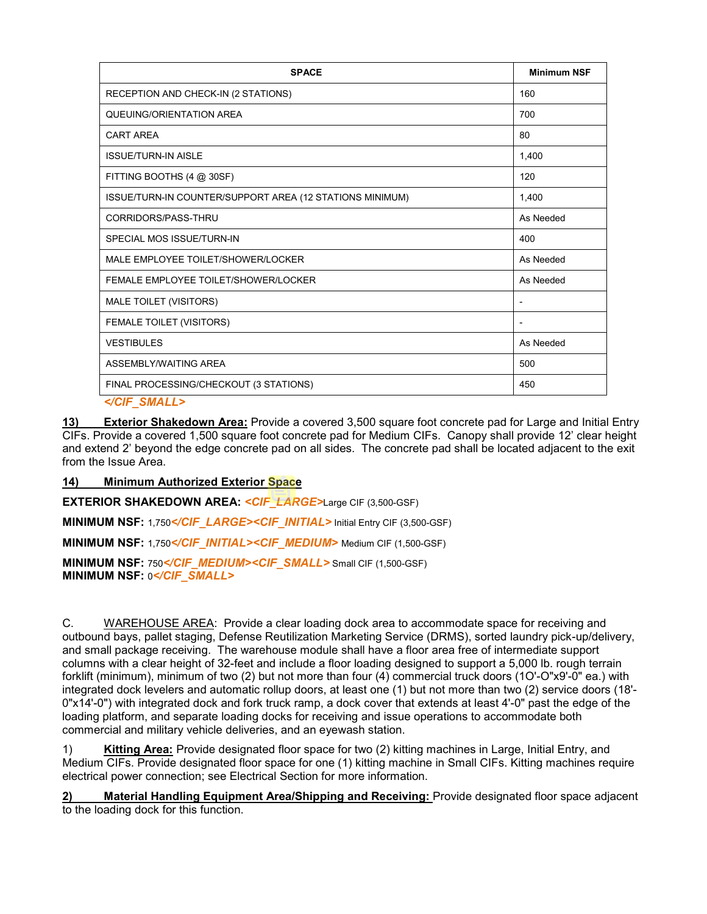| <b>SPACE</b>                                             | <b>Minimum NSF</b>           |
|----------------------------------------------------------|------------------------------|
| RECEPTION AND CHECK-IN (2 STATIONS)                      | 160                          |
| QUEUING/ORIENTATION AREA                                 | 700                          |
| <b>CART AREA</b>                                         | 80                           |
| <b>ISSUE/TURN-IN AISLE</b>                               | 1,400                        |
| FITTING BOOTHS (4 @ 30SF)                                | 120                          |
| ISSUE/TURN-IN COUNTER/SUPPORT AREA (12 STATIONS MINIMUM) | 1,400                        |
| CORRIDORS/PASS-THRU                                      | As Needed                    |
| SPECIAL MOS ISSUE/TURN-IN                                | 400                          |
| MALE EMPLOYEE TOILET/SHOWER/LOCKER                       | As Needed                    |
| FEMALE EMPLOYEE TOILET/SHOWER/LOCKER                     | As Needed                    |
| MALE TOILET (VISITORS)                                   | -                            |
| FEMALE TOILET (VISITORS)                                 | $\qquad \qquad \blacksquare$ |
| <b>VESTIBULES</b>                                        | As Needed                    |
| ASSEMBLY/WAITING AREA                                    | 500                          |
| FINAL PROCESSING/CHECKOUT (3 STATIONS)                   | 450                          |
|                                                          |                              |

**13) Exterior Shakedown Area:** Provide a covered 3,500 square foot concrete pad for Large and Initial Entry CIFs. Provide a covered 1,500 square foot concrete pad for Medium CIFs. Canopy shall provide 12' clear height and extend 2' beyond the edge concrete pad on all sides. The concrete pad shall be located adjacent to the exit from the Issue Area.

### **14) Minimum Authorized Exterior Space**

**EXTERIOR SHAKEDOWN AREA:** *<CIF\_LARGE>*Large CIF (3,500-GSF)

**MINIMUM NSF:** 1,750<sup></CIF\_LARGE><CIF\_INITIAL> Initial Entry CIF (3,500-GSF)</sup>

**MINIMUM NSF: 1,750</CIF\_INITIAL><CIF\_MEDIUM> Medium CIF (1,500-GSF)** 

**MINIMUM NSF: 750<sup></CIF\_MEDIUM><CIF\_SMALL>** Small CIF (1,500-GSF)</sup> **MINIMUM NSF:** 0*</CIF\_SMALL>*

C. WAREHOUSE AREA: Provide a clear loading dock area to accommodate space for receiving and outbound bays, pallet staging, Defense Reutilization Marketing Service (DRMS), sorted laundry pick-up/delivery, and small package receiving. The warehouse module shall have a floor area free of intermediate support columns with a clear height of 32-feet and include a floor loading designed to support a 5,000 lb. rough terrain forklift (minimum), minimum of two (2) but not more than four (4) commercial truck doors (1O'-O"x9'-0" ea.) with integrated dock levelers and automatic rollup doors, at least one (1) but not more than two (2) service doors (18'- 0"x14'-0") with integrated dock and fork truck ramp, a dock cover that extends at least 4'-0" past the edge of the loading platform, and separate loading docks for receiving and issue operations to accommodate both commercial and military vehicle deliveries, and an eyewash station.

1) **Kitting Area:** Provide designated floor space for two (2) kitting machines in Large, Initial Entry, and Medium CIFs. Provide designated floor space for one (1) kitting machine in Small CIFs. Kitting machines require electrical power connection; see Electrical Section for more information.

**2) Material Handling Equipment Area/Shipping and Receiving:** Provide designated floor space adjacent to the loading dock for this function.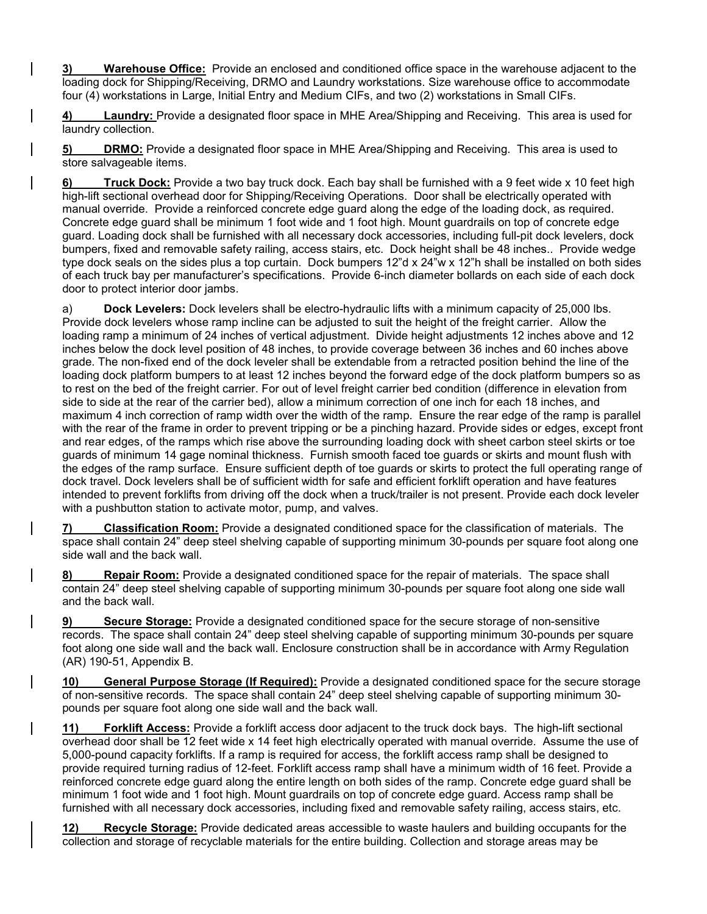**3) Warehouse Office:** Provide an enclosed and conditioned office space in the warehouse adjacent to the loading dock for Shipping/Receiving, DRMO and Laundry workstations. Size warehouse office to accommodate four (4) workstations in Large, Initial Entry and Medium CIFs, and two (2) workstations in Small CIFs.

**4) Laundry:** Provide a designated floor space in MHE Area/Shipping and Receiving. This area is used for laundry collection.

**5) DRMO:** Provide a designated floor space in MHE Area/Shipping and Receiving. This area is used to store salvageable items.

**6) Truck Dock:** Provide a two bay truck dock. Each bay shall be furnished with a 9 feet wide x 10 feet high high-lift sectional overhead door for Shipping/Receiving Operations. Door shall be electrically operated with manual override. Provide a reinforced concrete edge guard along the edge of the loading dock, as required. Concrete edge guard shall be minimum 1 foot wide and 1 foot high. Mount guardrails on top of concrete edge guard. Loading dock shall be furnished with all necessary dock accessories, including full-pit dock levelers, dock bumpers, fixed and removable safety railing, access stairs, etc. Dock height shall be 48 inches.. Provide wedge type dock seals on the sides plus a top curtain. Dock bumpers 12"d x 24"w x 12"h shall be installed on both sides of each truck bay per manufacturer's specifications. Provide 6-inch diameter bollards on each side of each dock door to protect interior door jambs.

a) **Dock Levelers:** Dock levelers shall be electro-hydraulic lifts with a minimum capacity of 25,000 lbs. Provide dock levelers whose ramp incline can be adjusted to suit the height of the freight carrier. Allow the loading ramp a minimum of 24 inches of vertical adjustment. Divide height adjustments 12 inches above and 12 inches below the dock level position of 48 inches, to provide coverage between 36 inches and 60 inches above grade. The non-fixed end of the dock leveler shall be extendable from a retracted position behind the line of the loading dock platform bumpers to at least 12 inches beyond the forward edge of the dock platform bumpers so as to rest on the bed of the freight carrier. For out of level freight carrier bed condition (difference in elevation from side to side at the rear of the carrier bed), allow a minimum correction of one inch for each 18 inches, and maximum 4 inch correction of ramp width over the width of the ramp. Ensure the rear edge of the ramp is parallel with the rear of the frame in order to prevent tripping or be a pinching hazard. Provide sides or edges, except front and rear edges, of the ramps which rise above the surrounding loading dock with sheet carbon steel skirts or toe guards of minimum 14 gage nominal thickness. Furnish smooth faced toe guards or skirts and mount flush with the edges of the ramp surface. Ensure sufficient depth of toe guards or skirts to protect the full operating range of dock travel. Dock levelers shall be of sufficient width for safe and efficient forklift operation and have features intended to prevent forklifts from driving off the dock when a truck/trailer is not present. Provide each dock leveler with a pushbutton station to activate motor, pump, and valves.

**7) Classification Room:** Provide a designated conditioned space for the classification of materials. The space shall contain 24" deep steel shelving capable of supporting minimum 30-pounds per square foot along one side wall and the back wall.

**8) Repair Room:** Provide a designated conditioned space for the repair of materials. The space shall contain 24" deep steel shelving capable of supporting minimum 30-pounds per square foot along one side wall and the back wall.

**9) Secure Storage:** Provide a designated conditioned space for the secure storage of non-sensitive records. The space shall contain 24" deep steel shelving capable of supporting minimum 30-pounds per square foot along one side wall and the back wall. Enclosure construction shall be in accordance with Army Regulation (AR) 190-51, Appendix B.

**10) General Purpose Storage (If Required):** Provide a designated conditioned space for the secure storage of non-sensitive records. The space shall contain 24" deep steel shelving capable of supporting minimum 30 pounds per square foot along one side wall and the back wall.

**11) Forklift Access:** Provide a forklift access door adjacent to the truck dock bays. The high-lift sectional overhead door shall be 12 feet wide x 14 feet high electrically operated with manual override. Assume the use of 5,000-pound capacity forklifts. If a ramp is required for access, the forklift access ramp shall be designed to provide required turning radius of 12-feet. Forklift access ramp shall have a minimum width of 16 feet. Provide a reinforced concrete edge guard along the entire length on both sides of the ramp. Concrete edge guard shall be minimum 1 foot wide and 1 foot high. Mount guardrails on top of concrete edge guard. Access ramp shall be furnished with all necessary dock accessories, including fixed and removable safety railing, access stairs, etc.

**12) Recycle Storage:** Provide dedicated areas accessible to waste haulers and building occupants for the collection and storage of recyclable materials for the entire building. Collection and storage areas may be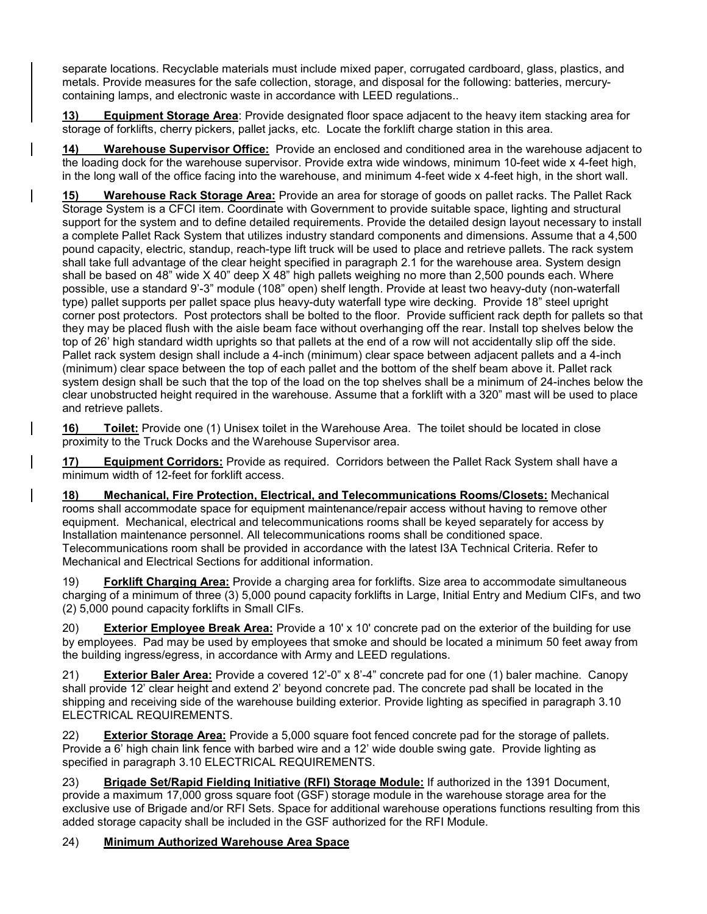separate locations. Recyclable materials must include mixed paper, corrugated cardboard, glass, plastics, and metals. Provide measures for the safe collection, storage, and disposal for the following: batteries, mercurycontaining lamps, and electronic waste in accordance with LEED regulations..

**13) Equipment Storage Area**: Provide designated floor space adjacent to the heavy item stacking area for storage of forklifts, cherry pickers, pallet jacks, etc. Locate the forklift charge station in this area.

**14) Warehouse Supervisor Office:** Provide an enclosed and conditioned area in the warehouse adjacent to the loading dock for the warehouse supervisor. Provide extra wide windows, minimum 10-feet wide x 4-feet high, in the long wall of the office facing into the warehouse, and minimum 4-feet wide x 4-feet high, in the short wall.

**15) Warehouse Rack Storage Area:** Provide an area for storage of goods on pallet racks. The Pallet Rack Storage System is a CFCI item. Coordinate with Government to provide suitable space, lighting and structural support for the system and to define detailed requirements. Provide the detailed design layout necessary to install a complete Pallet Rack System that utilizes industry standard components and dimensions. Assume that a 4,500 pound capacity, electric, standup, reach-type lift truck will be used to place and retrieve pallets. The rack system shall take full advantage of the clear height specified in paragraph 2.1 for the warehouse area. System design shall be based on 48" wide X 40" deep X 48" high pallets weighing no more than 2,500 pounds each. Where possible, use a standard 9'-3" module (108" open) shelf length. Provide at least two heavy-duty (non-waterfall type) pallet supports per pallet space plus heavy-duty waterfall type wire decking. Provide 18" steel upright corner post protectors. Post protectors shall be bolted to the floor. Provide sufficient rack depth for pallets so that they may be placed flush with the aisle beam face without overhanging off the rear. Install top shelves below the top of 26' high standard width uprights so that pallets at the end of a row will not accidentally slip off the side. Pallet rack system design shall include a 4-inch (minimum) clear space between adjacent pallets and a 4-inch (minimum) clear space between the top of each pallet and the bottom of the shelf beam above it. Pallet rack system design shall be such that the top of the load on the top shelves shall be a minimum of 24-inches below the clear unobstructed height required in the warehouse. Assume that a forklift with a 320" mast will be used to place and retrieve pallets.

**16) Toilet:** Provide one (1) Unisex toilet in the Warehouse Area. The toilet should be located in close proximity to the Truck Docks and the Warehouse Supervisor area.

**17) Equipment Corridors:** Provide as required. Corridors between the Pallet Rack System shall have a minimum width of 12-feet for forklift access.

**18) Mechanical, Fire Protection, Electrical, and Telecommunications Rooms/Closets:** Mechanical rooms shall accommodate space for equipment maintenance/repair access without having to remove other equipment. Mechanical, electrical and telecommunications rooms shall be keyed separately for access by Installation maintenance personnel. All telecommunications rooms shall be conditioned space. Telecommunications room shall be provided in accordance with the latest I3A Technical Criteria. Refer to Mechanical and Electrical Sections for additional information.

19) **Forklift Charging Area:** Provide a charging area for forklifts. Size area to accommodate simultaneous charging of a minimum of three (3) 5,000 pound capacity forklifts in Large, Initial Entry and Medium CIFs, and two (2) 5,000 pound capacity forklifts in Small CIFs.

20) **Exterior Employee Break Area:** Provide a 10' x 10' concrete pad on the exterior of the building for use by employees. Pad may be used by employees that smoke and should be located a minimum 50 feet away from the building ingress/egress, in accordance with Army and LEED regulations.

21) **Exterior Baler Area:** Provide a covered 12'-0" x 8'-4" concrete pad for one (1) baler machine. Canopy shall provide 12' clear height and extend 2' beyond concrete pad. The concrete pad shall be located in the shipping and receiving side of the warehouse building exterior. Provide lighting as specified in paragraph 3.10 ELECTRICAL REQUIREMENTS.

22) **Exterior Storage Area:** Provide a 5,000 square foot fenced concrete pad for the storage of pallets. Provide a 6' high chain link fence with barbed wire and a 12' wide double swing gate. Provide lighting as specified in paragraph 3.10 ELECTRICAL REQUIREMENTS.

23) **Brigade Set/Rapid Fielding Initiative (RFI) Storage Module:** If authorized in the 1391 Document, provide a maximum 17,000 gross square foot (GSF) storage module in the warehouse storage area for the exclusive use of Brigade and/or RFI Sets. Space for additional warehouse operations functions resulting from this added storage capacity shall be included in the GSF authorized for the RFI Module.

# 24) **Minimum Authorized Warehouse Area Space**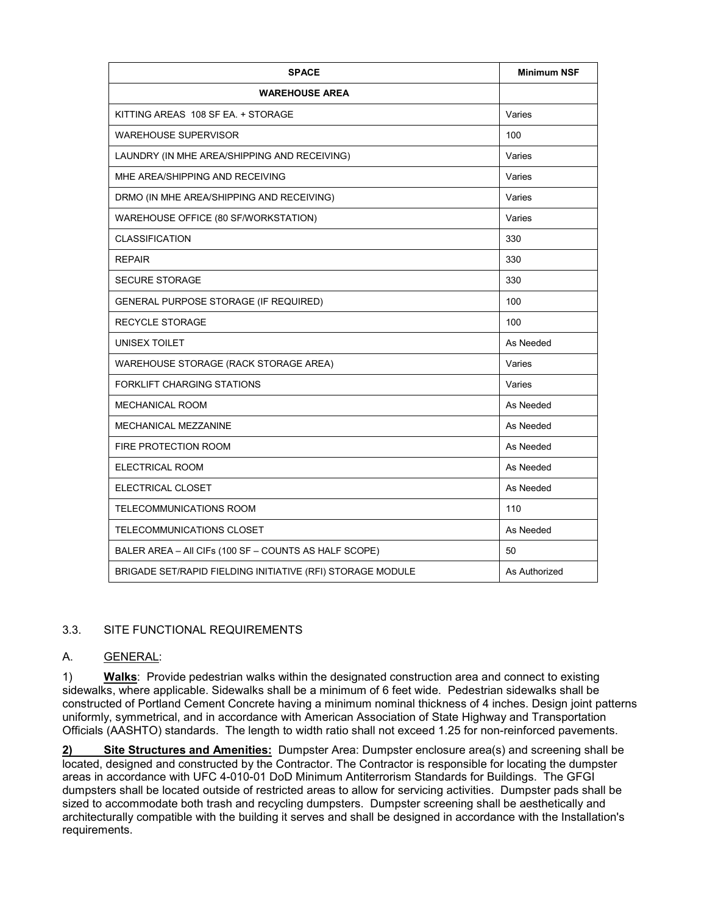| <b>SPACE</b>                                               | <b>Minimum NSF</b> |
|------------------------------------------------------------|--------------------|
| <b>WAREHOUSE AREA</b>                                      |                    |
| KITTING AREAS 108 SF EA. + STORAGE                         | Varies             |
| <b>WAREHOUSE SUPERVISOR</b>                                | 100                |
| LAUNDRY (IN MHE AREA/SHIPPING AND RECEIVING)               | Varies             |
| MHF ARFA/SHIPPING AND RECEIVING                            | Varies             |
| DRMO (IN MHE AREA/SHIPPING AND RECEIVING)                  | Varies             |
| WAREHOUSE OFFICE (80 SF/WORKSTATION)                       | Varies             |
| <b>CLASSIFICATION</b>                                      | 330                |
| <b>REPAIR</b>                                              | 330                |
| <b>SECURE STORAGE</b>                                      | 330                |
| GENERAL PURPOSE STORAGE (IF REQUIRED)                      | 100                |
| <b>RECYCLE STORAGE</b>                                     | 100                |
| UNISEX TOILET                                              | As Needed          |
| WAREHOUSE STORAGE (RACK STORAGE AREA)                      | Varies             |
| <b>FORKLIFT CHARGING STATIONS</b>                          | Varies             |
| <b>MECHANICAL ROOM</b>                                     | As Needed          |
| MECHANICAL MEZZANINE                                       | As Needed          |
| FIRE PROTECTION ROOM                                       | As Needed          |
| ELECTRICAL ROOM                                            | As Needed          |
| ELECTRICAL CLOSET                                          | As Needed          |
| TELECOMMUNICATIONS ROOM                                    | 110                |
| TELECOMMUNICATIONS CLOSET                                  | As Needed          |
| BALER AREA - All CIFs (100 SF - COUNTS AS HALF SCOPE)      | 50                 |
| BRIGADE SET/RAPID FIELDING INITIATIVE (RFI) STORAGE MODULE | As Authorized      |

# 3.3. SITE FUNCTIONAL REQUIREMENTS

#### A. GENERAL:

1) **Walks**: Provide pedestrian walks within the designated construction area and connect to existing sidewalks, where applicable. Sidewalks shall be a minimum of 6 feet wide. Pedestrian sidewalks shall be constructed of Portland Cement Concrete having a minimum nominal thickness of 4 inches. Design joint patterns uniformly, symmetrical, and in accordance with American Association of State Highway and Transportation Officials (AASHTO) standards. The length to width ratio shall not exceed 1.25 for non-reinforced pavements.

**2) Site Structures and Amenities:** Dumpster Area: Dumpster enclosure area(s) and screening shall be located, designed and constructed by the Contractor. The Contractor is responsible for locating the dumpster areas in accordance with UFC 4-010-01 DoD Minimum Antiterrorism Standards for Buildings. The GFGI dumpsters shall be located outside of restricted areas to allow for servicing activities. Dumpster pads shall be sized to accommodate both trash and recycling dumpsters. Dumpster screening shall be aesthetically and architecturally compatible with the building it serves and shall be designed in accordance with the Installation's requirements.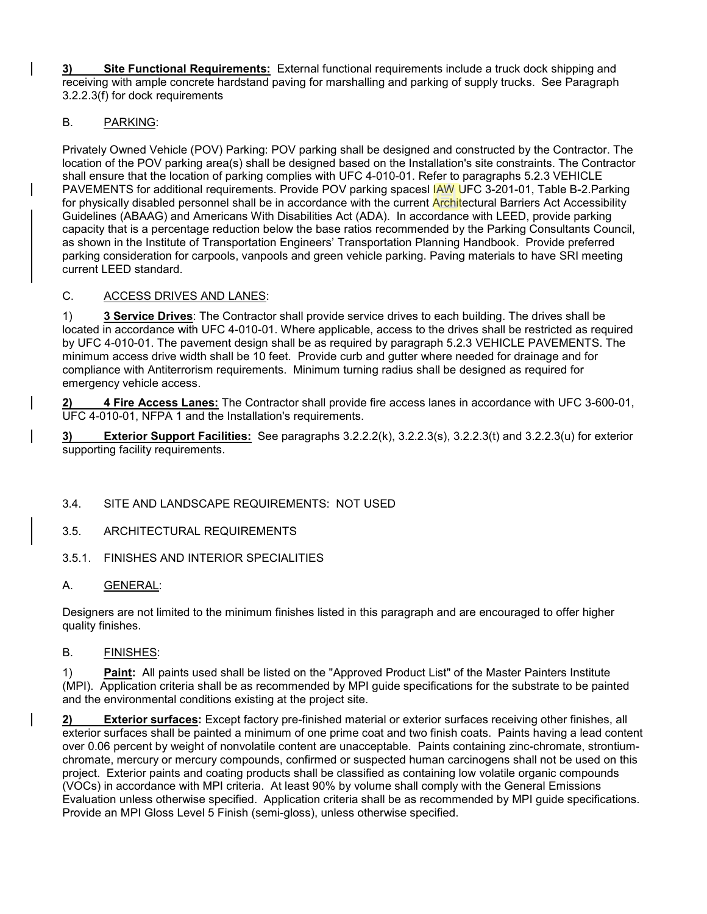**3) Site Functional Requirements:** External functional requirements include a truck dock shipping and receiving with ample concrete hardstand paving for marshalling and parking of supply trucks. See Paragraph 3.2.2.3(f) for dock requirements

## B. PARKING:

Privately Owned Vehicle (POV) Parking: POV parking shall be designed and constructed by the Contractor. The location of the POV parking area(s) shall be designed based on the Installation's site constraints. The Contractor shall ensure that the location of parking complies with UFC 4-010-01. Refer to paragraphs 5.2.3 VEHICLE PAVEMENTS for additional requirements. Provide POV parking spacesl IAW UFC 3-201-01, Table B-2.Parking for physically disabled personnel shall be in accordance with the current Architectural Barriers Act Accessibility Guidelines (ABAAG) and Americans With Disabilities Act (ADA). In accordance with LEED, provide parking capacity that is a percentage reduction below the base ratios recommended by the Parking Consultants Council, as shown in the Institute of Transportation Engineers' Transportation Planning Handbook. Provide preferred parking consideration for carpools, vanpools and green vehicle parking. Paving materials to have SRI meeting current LEED standard.

### C. ACCESS DRIVES AND LANES:

1) **3 Service Drives**: The Contractor shall provide service drives to each building. The drives shall be located in accordance with UFC 4-010-01. Where applicable, access to the drives shall be restricted as required by UFC 4-010-01. The pavement design shall be as required by paragraph 5.2.3 VEHICLE PAVEMENTS. The minimum access drive width shall be 10 feet. Provide curb and gutter where needed for drainage and for compliance with Antiterrorism requirements. Minimum turning radius shall be designed as required for emergency vehicle access.

**2) 4 Fire Access Lanes:** The Contractor shall provide fire access lanes in accordance with UFC 3-600-01, UFC 4-010-01, NFPA 1 and the Installation's requirements.

**3) Exterior Support Facilities:** See paragraphs 3.2.2.2(k), 3.2.2.3(s), 3.2.2.3(t) and 3.2.2.3(u) for exterior supporting facility requirements.

### 3.4. SITE AND LANDSCAPE REQUIREMENTS: NOT USED

### 3.5. ARCHITECTURAL REQUIREMENTS

### 3.5.1. FINISHES AND INTERIOR SPECIALITIES

### A. GENERAL:

Designers are not limited to the minimum finishes listed in this paragraph and are encouraged to offer higher quality finishes.

### B. FINISHES:

1) **Paint:** All paints used shall be listed on the "Approved Product List" of the Master Painters Institute (MPI). Application criteria shall be as recommended by MPI guide specifications for the substrate to be painted and the environmental conditions existing at the project site.

**2) Exterior surfaces:** Except factory pre-finished material or exterior surfaces receiving other finishes, all exterior surfaces shall be painted a minimum of one prime coat and two finish coats. Paints having a lead content over 0.06 percent by weight of nonvolatile content are unacceptable. Paints containing zinc-chromate, strontiumchromate, mercury or mercury compounds, confirmed or suspected human carcinogens shall not be used on this project. Exterior paints and coating products shall be classified as containing low volatile organic compounds (VOCs) in accordance with MPI criteria. At least 90% by volume shall comply with the General Emissions Evaluation unless otherwise specified. Application criteria shall be as recommended by MPI guide specifications. Provide an MPI Gloss Level 5 Finish (semi-gloss), unless otherwise specified.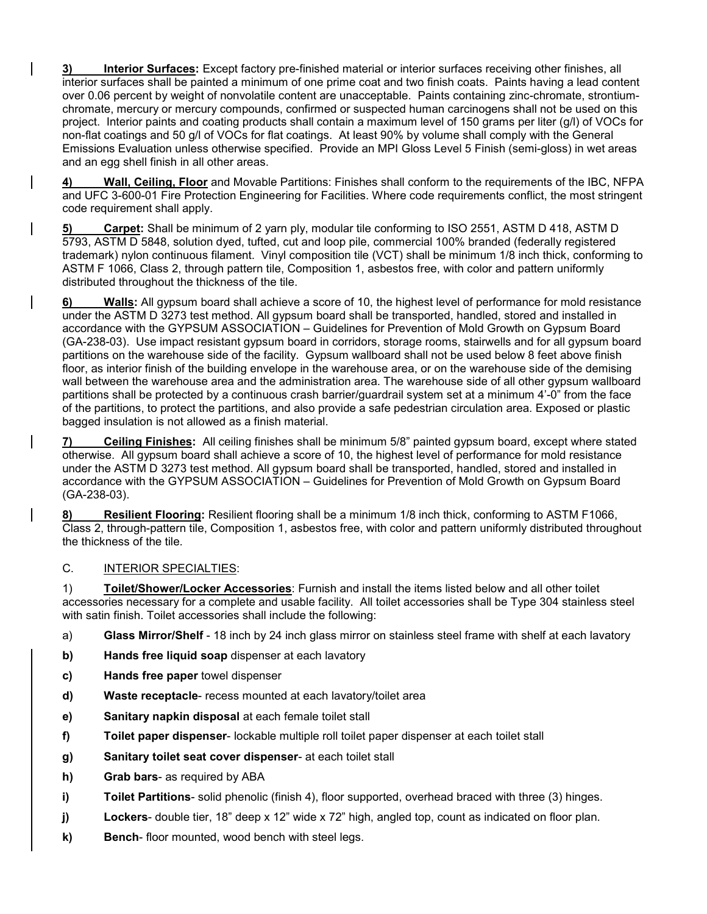**3) Interior Surfaces:** Except factory pre-finished material or interior surfaces receiving other finishes, all interior surfaces shall be painted a minimum of one prime coat and two finish coats. Paints having a lead content over 0.06 percent by weight of nonvolatile content are unacceptable. Paints containing zinc-chromate, strontiumchromate, mercury or mercury compounds, confirmed or suspected human carcinogens shall not be used on this project. Interior paints and coating products shall contain a maximum level of 150 grams per liter (g/l) of VOCs for non-flat coatings and 50 g/l of VOCs for flat coatings. At least 90% by volume shall comply with the General Emissions Evaluation unless otherwise specified. Provide an MPI Gloss Level 5 Finish (semi-gloss) in wet areas and an egg shell finish in all other areas.

**4) Wall, Ceiling, Floor** and Movable Partitions: Finishes shall conform to the requirements of the IBC, NFPA and UFC 3-600-01 Fire Protection Engineering for Facilities. Where code requirements conflict, the most stringent code requirement shall apply.

**5) Carpet:** Shall be minimum of 2 yarn ply, modular tile conforming to ISO 2551, ASTM D 418, ASTM D 5793, ASTM D 5848, solution dyed, tufted, cut and loop pile, commercial 100% branded (federally registered trademark) nylon continuous filament. Vinyl composition tile (VCT) shall be minimum 1/8 inch thick, conforming to ASTM F 1066, Class 2, through pattern tile, Composition 1, asbestos free, with color and pattern uniformly distributed throughout the thickness of the tile.

**6) Walls:** All gypsum board shall achieve a score of 10, the highest level of performance for mold resistance under the ASTM D 3273 test method. All gypsum board shall be transported, handled, stored and installed in accordance with the GYPSUM ASSOCIATION – Guidelines for Prevention of Mold Growth on Gypsum Board (GA-238-03). Use impact resistant gypsum board in corridors, storage rooms, stairwells and for all gypsum board partitions on the warehouse side of the facility. Gypsum wallboard shall not be used below 8 feet above finish floor, as interior finish of the building envelope in the warehouse area, or on the warehouse side of the demising wall between the warehouse area and the administration area. The warehouse side of all other gypsum wallboard partitions shall be protected by a continuous crash barrier/guardrail system set at a minimum 4'-0" from the face of the partitions, to protect the partitions, and also provide a safe pedestrian circulation area. Exposed or plastic bagged insulation is not allowed as a finish material.

**7) Ceiling Finishes:** All ceiling finishes shall be minimum 5/8" painted gypsum board, except where stated otherwise. All gypsum board shall achieve a score of 10, the highest level of performance for mold resistance under the ASTM D 3273 test method. All gypsum board shall be transported, handled, stored and installed in accordance with the GYPSUM ASSOCIATION – Guidelines for Prevention of Mold Growth on Gypsum Board (GA-238-03).

**8) Resilient Flooring:** Resilient flooring shall be a minimum 1/8 inch thick, conforming to ASTM F1066, Class 2, through-pattern tile, Composition 1, asbestos free, with color and pattern uniformly distributed throughout the thickness of the tile.

### C. INTERIOR SPECIALTIES:

1) **Toilet/Shower/Locker Accessories**: Furnish and install the items listed below and all other toilet accessories necessary for a complete and usable facility. All toilet accessories shall be Type 304 stainless steel with satin finish. Toilet accessories shall include the following:

- a) **Glass Mirror/Shelf** 18 inch by 24 inch glass mirror on stainless steel frame with shelf at each lavatory
- **b) Hands free liquid soap** dispenser at each lavatory
- **c) Hands free paper** towel dispenser
- **d) Waste receptacle** recess mounted at each lavatory/toilet area
- **e) Sanitary napkin disposal** at each female toilet stall
- **f) Toilet paper dispenser** lockable multiple roll toilet paper dispenser at each toilet stall
- **g) Sanitary toilet seat cover dispenser** at each toilet stall
- **h) Grab bars** as required by ABA
- **i) Toilet Partitions** solid phenolic (finish 4), floor supported, overhead braced with three (3) hinges.
- **j) Lockers** double tier, 18" deep x 12" wide x 72" high, angled top, count as indicated on floor plan.
- **k) Bench** floor mounted, wood bench with steel legs.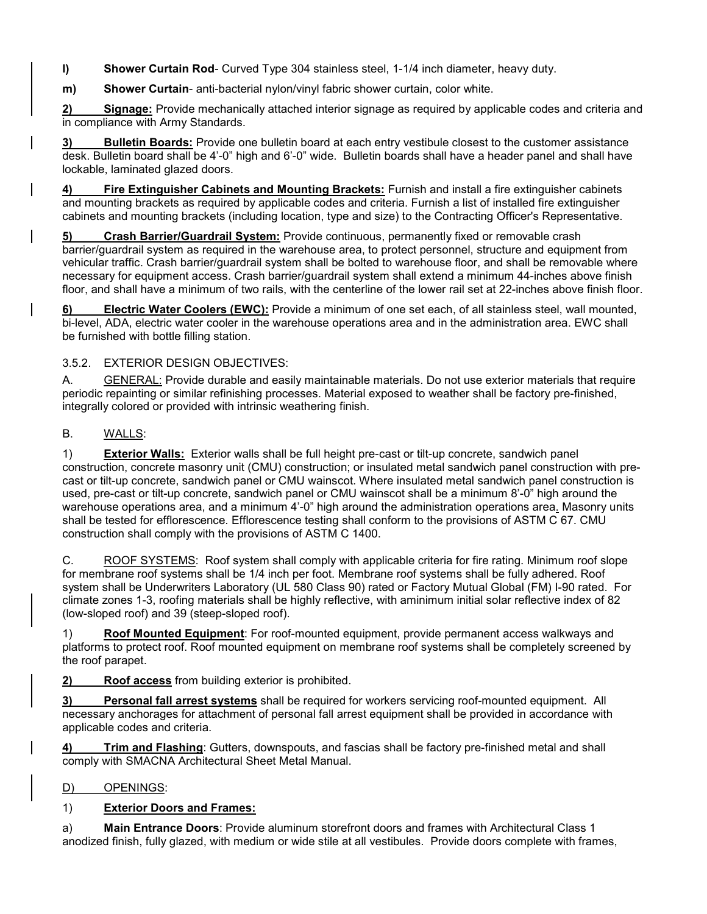**l) Shower Curtain Rod**- Curved Type 304 stainless steel, 1-1/4 inch diameter, heavy duty.

**m) Shower Curtain**- anti-bacterial nylon/vinyl fabric shower curtain, color white.

**2) Signage:** Provide mechanically attached interior signage as required by applicable codes and criteria and in compliance with Army Standards.

**3) Bulletin Boards:** Provide one bulletin board at each entry vestibule closest to the customer assistance desk. Bulletin board shall be 4'-0" high and 6'-0" wide. Bulletin boards shall have a header panel and shall have lockable, laminated glazed doors.

**4) Fire Extinguisher Cabinets and Mounting Brackets:** Furnish and install a fire extinguisher cabinets and mounting brackets as required by applicable codes and criteria. Furnish a list of installed fire extinguisher cabinets and mounting brackets (including location, type and size) to the Contracting Officer's Representative.

**5) Crash Barrier/Guardrail System:** Provide continuous, permanently fixed or removable crash barrier/guardrail system as required in the warehouse area, to protect personnel, structure and equipment from vehicular traffic. Crash barrier/guardrail system shall be bolted to warehouse floor, and shall be removable where necessary for equipment access. Crash barrier/guardrail system shall extend a minimum 44-inches above finish floor, and shall have a minimum of two rails, with the centerline of the lower rail set at 22-inches above finish floor.

**6) Electric Water Coolers (EWC):** Provide a minimum of one set each, of all stainless steel, wall mounted, bi-level, ADA, electric water cooler in the warehouse operations area and in the administration area. EWC shall be furnished with bottle filling station.

## 3.5.2. EXTERIOR DESIGN OBJECTIVES:

A. GENERAL: Provide durable and easily maintainable materials. Do not use exterior materials that require periodic repainting or similar refinishing processes. Material exposed to weather shall be factory pre-finished, integrally colored or provided with intrinsic weathering finish.

## B. WALLS:

1) **Exterior Walls:** Exterior walls shall be full height pre-cast or tilt-up concrete, sandwich panel construction, concrete masonry unit (CMU) construction; or insulated metal sandwich panel construction with precast or tilt-up concrete, sandwich panel or CMU wainscot. Where insulated metal sandwich panel construction is used, pre-cast or tilt-up concrete, sandwich panel or CMU wainscot shall be a minimum 8'-0" high around the warehouse operations area, and a minimum 4'-0" high around the administration operations area. Masonry units shall be tested for efflorescence. Efflorescence testing shall conform to the provisions of ASTM C 67. CMU construction shall comply with the provisions of ASTM C 1400.

C. ROOF SYSTEMS: Roof system shall comply with applicable criteria for fire rating. Minimum roof slope for membrane roof systems shall be 1/4 inch per foot. Membrane roof systems shall be fully adhered. Roof system shall be Underwriters Laboratory (UL 580 Class 90) rated or Factory Mutual Global (FM) I-90 rated. For climate zones 1-3, roofing materials shall be highly reflective, with aminimum initial solar reflective index of 82 (low-sloped roof) and 39 (steep-sloped roof).

1) **Roof Mounted Equipment**: For roof-mounted equipment, provide permanent access walkways and platforms to protect roof. Roof mounted equipment on membrane roof systems shall be completely screened by the roof parapet.

**2) Roof access** from building exterior is prohibited.

**3) Personal fall arrest systems** shall be required for workers servicing roof-mounted equipment. All necessary anchorages for attachment of personal fall arrest equipment shall be provided in accordance with applicable codes and criteria.

**4) Trim and Flashing**: Gutters, downspouts, and fascias shall be factory pre-finished metal and shall comply with SMACNA Architectural Sheet Metal Manual.

# D) OPENINGS:

# 1) **Exterior Doors and Frames:**

a) **Main Entrance Doors**: Provide aluminum storefront doors and frames with Architectural Class 1 anodized finish, fully glazed, with medium or wide stile at all vestibules. Provide doors complete with frames,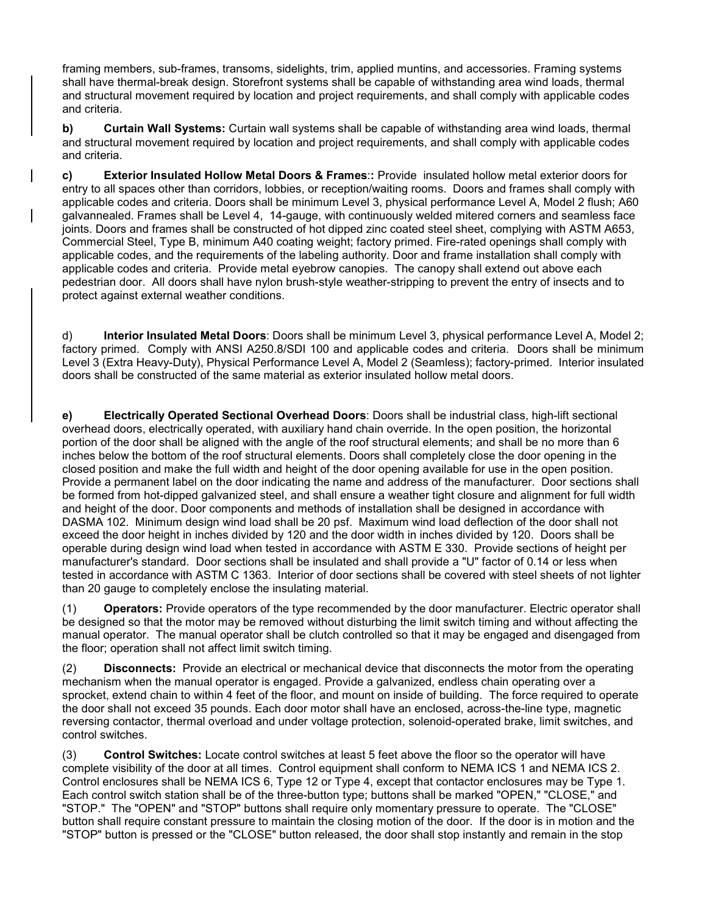framing members, sub-frames, transoms, sidelights, trim, applied muntins, and accessories. Framing systems shall have thermal-break design. Storefront systems shall be capable of withstanding area wind loads, thermal and structural movement required by location and project requirements, and shall comply with applicable codes and criteria.

**b) Curtain Wall Systems:** Curtain wall systems shall be capable of withstanding area wind loads, thermal and structural movement required by location and project requirements, and shall comply with applicable codes and criteria.

**c) Exterior Insulated Hollow Metal Doors & Frames**:**:** Provide insulated hollow metal exterior doors for entry to all spaces other than corridors, lobbies, or reception/waiting rooms. Doors and frames shall comply with applicable codes and criteria. Doors shall be minimum Level 3, physical performance Level A, Model 2 flush; A60 galvannealed. Frames shall be Level 4, 14-gauge, with continuously welded mitered corners and seamless face joints. Doors and frames shall be constructed of hot dipped zinc coated steel sheet, complying with ASTM A653, Commercial Steel, Type B, minimum A40 coating weight; factory primed. Fire-rated openings shall comply with applicable codes, and the requirements of the labeling authority. Door and frame installation shall comply with applicable codes and criteria. Provide metal eyebrow canopies. The canopy shall extend out above each pedestrian door. All doors shall have nylon brush-style weather-stripping to prevent the entry of insects and to protect against external weather conditions.

d) **Interior Insulated Metal Doors**: Doors shall be minimum Level 3, physical performance Level A, Model 2; factory primed. Comply with ANSI A250.8/SDI 100 and applicable codes and criteria. Doors shall be minimum Level 3 (Extra Heavy-Duty), Physical Performance Level A, Model 2 (Seamless); factory-primed. Interior insulated doors shall be constructed of the same material as exterior insulated hollow metal doors.

**e) Electrically Operated Sectional Overhead Doors**: Doors shall be industrial class, high-lift sectional overhead doors, electrically operated, with auxiliary hand chain override. In the open position, the horizontal portion of the door shall be aligned with the angle of the roof structural elements; and shall be no more than 6 inches below the bottom of the roof structural elements. Doors shall completely close the door opening in the closed position and make the full width and height of the door opening available for use in the open position. Provide a permanent label on the door indicating the name and address of the manufacturer. Door sections shall be formed from hot-dipped galvanized steel, and shall ensure a weather tight closure and alignment for full width and height of the door. Door components and methods of installation shall be designed in accordance with DASMA 102. Minimum design wind load shall be 20 psf. Maximum wind load deflection of the door shall not exceed the door height in inches divided by 120 and the door width in inches divided by 120. Doors shall be operable during design wind load when tested in accordance with ASTM E 330. Provide sections of height per manufacturer's standard. Door sections shall be insulated and shall provide a "U" factor of 0.14 or less when tested in accordance with ASTM C 1363. Interior of door sections shall be covered with steel sheets of not lighter than 20 gauge to completely enclose the insulating material.

(1) **Operators:** Provide operators of the type recommended by the door manufacturer. Electric operator shall be designed so that the motor may be removed without disturbing the limit switch timing and without affecting the manual operator. The manual operator shall be clutch controlled so that it may be engaged and disengaged from the floor; operation shall not affect limit switch timing.

(2) **Disconnects:** Provide an electrical or mechanical device that disconnects the motor from the operating mechanism when the manual operator is engaged. Provide a galvanized, endless chain operating over a sprocket, extend chain to within 4 feet of the floor, and mount on inside of building. The force required to operate the door shall not exceed 35 pounds. Each door motor shall have an enclosed, across-the-line type, magnetic reversing contactor, thermal overload and under voltage protection, solenoid-operated brake, limit switches, and control switches.

(3) **Control Switches:** Locate control switches at least 5 feet above the floor so the operator will have complete visibility of the door at all times. Control equipment shall conform to NEMA ICS 1 and NEMA ICS 2. Control enclosures shall be NEMA ICS 6, Type 12 or Type 4, except that contactor enclosures may be Type 1. Each control switch station shall be of the three-button type; buttons shall be marked "OPEN," "CLOSE," and "STOP." The "OPEN" and "STOP" buttons shall require only momentary pressure to operate. The "CLOSE" button shall require constant pressure to maintain the closing motion of the door. If the door is in motion and the "STOP" button is pressed or the "CLOSE" button released, the door shall stop instantly and remain in the stop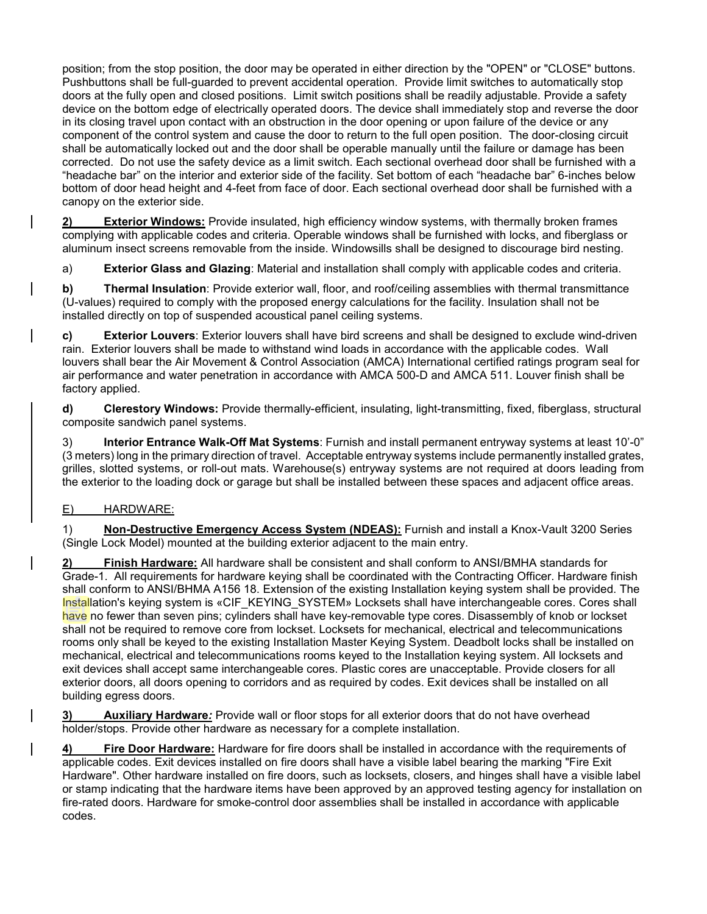position; from the stop position, the door may be operated in either direction by the "OPEN" or "CLOSE" buttons. Pushbuttons shall be full-guarded to prevent accidental operation. Provide limit switches to automatically stop doors at the fully open and closed positions. Limit switch positions shall be readily adjustable. Provide a safety device on the bottom edge of electrically operated doors. The device shall immediately stop and reverse the door in its closing travel upon contact with an obstruction in the door opening or upon failure of the device or any component of the control system and cause the door to return to the full open position. The door-closing circuit shall be automatically locked out and the door shall be operable manually until the failure or damage has been corrected. Do not use the safety device as a limit switch. Each sectional overhead door shall be furnished with a "headache bar" on the interior and exterior side of the facility. Set bottom of each "headache bar" 6-inches below bottom of door head height and 4-feet from face of door. Each sectional overhead door shall be furnished with a canopy on the exterior side.

**2) Exterior Windows:** Provide insulated, high efficiency window systems, with thermally broken frames complying with applicable codes and criteria. Operable windows shall be furnished with locks, and fiberglass or aluminum insect screens removable from the inside. Windowsills shall be designed to discourage bird nesting.

a) **Exterior Glass and Glazing**: Material and installation shall comply with applicable codes and criteria.

**b) Thermal Insulation**: Provide exterior wall, floor, and roof/ceiling assemblies with thermal transmittance (U-values) required to comply with the proposed energy calculations for the facility. Insulation shall not be installed directly on top of suspended acoustical panel ceiling systems.

**c) Exterior Louvers**: Exterior louvers shall have bird screens and shall be designed to exclude wind-driven rain. Exterior louvers shall be made to withstand wind loads in accordance with the applicable codes. Wall louvers shall bear the Air Movement & Control Association (AMCA) International certified ratings program seal for air performance and water penetration in accordance with AMCA 500-D and AMCA 511. Louver finish shall be factory applied.

**d) Clerestory Windows:** Provide thermally-efficient, insulating, light-transmitting, fixed, fiberglass, structural composite sandwich panel systems.

3) **Interior Entrance Walk-Off Mat Systems**: Furnish and install permanent entryway systems at least 10'-0" (3 meters) long in the primary direction of travel. Acceptable entryway systems include permanently installed grates, grilles, slotted systems, or roll-out mats. Warehouse(s) entryway systems are not required at doors leading from the exterior to the loading dock or garage but shall be installed between these spaces and adjacent office areas.

### E) HARDWARE:

1) **Non-Destructive Emergency Access System (NDEAS):** Furnish and install a Knox-Vault 3200 Series (Single Lock Model) mounted at the building exterior adjacent to the main entry.

**2) Finish Hardware:** All hardware shall be consistent and shall conform to ANSI/BMHA standards for Grade-1. All requirements for hardware keying shall be coordinated with the Contracting Officer. Hardware finish shall conform to ANSI/BHMA A156 18. Extension of the existing Installation keying system shall be provided. The Installation's keying system is «CIF\_KEYING\_SYSTEM» Locksets shall have interchangeable cores. Cores shall have no fewer than seven pins; cylinders shall have key-removable type cores. Disassembly of knob or lockset shall not be required to remove core from lockset. Locksets for mechanical, electrical and telecommunications rooms only shall be keyed to the existing Installation Master Keying System. Deadbolt locks shall be installed on mechanical, electrical and telecommunications rooms keyed to the Installation keying system. All locksets and exit devices shall accept same interchangeable cores. Plastic cores are unacceptable. Provide closers for all exterior doors, all doors opening to corridors and as required by codes. Exit devices shall be installed on all building egress doors.

**3) Auxiliary Hardware***:* Provide wall or floor stops for all exterior doors that do not have overhead holder/stops. Provide other hardware as necessary for a complete installation.

**4) Fire Door Hardware:** Hardware for fire doors shall be installed in accordance with the requirements of applicable codes. Exit devices installed on fire doors shall have a visible label bearing the marking "Fire Exit Hardware". Other hardware installed on fire doors, such as locksets, closers, and hinges shall have a visible label or stamp indicating that the hardware items have been approved by an approved testing agency for installation on fire-rated doors. Hardware for smoke-control door assemblies shall be installed in accordance with applicable codes.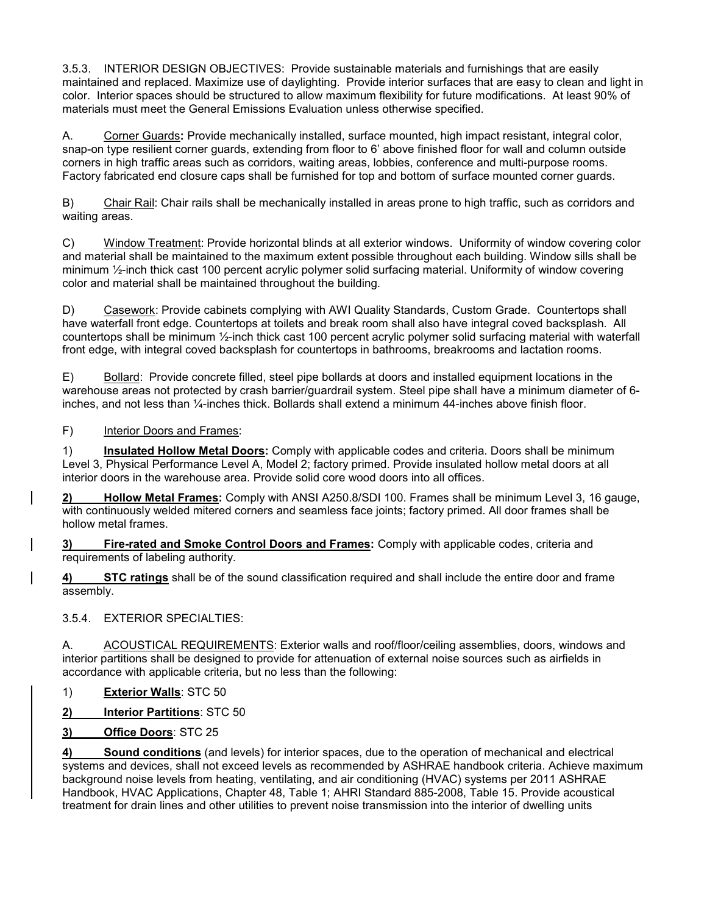3.5.3. INTERIOR DESIGN OBJECTIVES: Provide sustainable materials and furnishings that are easily maintained and replaced. Maximize use of daylighting. Provide interior surfaces that are easy to clean and light in color. Interior spaces should be structured to allow maximum flexibility for future modifications. At least 90% of materials must meet the General Emissions Evaluation unless otherwise specified.

A. Corner Guards**:** Provide mechanically installed, surface mounted, high impact resistant, integral color, snap-on type resilient corner guards, extending from floor to 6' above finished floor for wall and column outside corners in high traffic areas such as corridors, waiting areas, lobbies, conference and multi-purpose rooms. Factory fabricated end closure caps shall be furnished for top and bottom of surface mounted corner guards.

B) Chair Rail: Chair rails shall be mechanically installed in areas prone to high traffic, such as corridors and waiting areas.

C) Window Treatment: Provide horizontal blinds at all exterior windows. Uniformity of window covering color and material shall be maintained to the maximum extent possible throughout each building. Window sills shall be minimum ½-inch thick cast 100 percent acrylic polymer solid surfacing material. Uniformity of window covering color and material shall be maintained throughout the building.

D) Casework: Provide cabinets complying with AWI Quality Standards, Custom Grade. Countertops shall have waterfall front edge. Countertops at toilets and break room shall also have integral coved backsplash. All countertops shall be minimum ½-inch thick cast 100 percent acrylic polymer solid surfacing material with waterfall front edge, with integral coved backsplash for countertops in bathrooms, breakrooms and lactation rooms.

E) Bollard: Provide concrete filled, steel pipe bollards at doors and installed equipment locations in the warehouse areas not protected by crash barrier/guardrail system. Steel pipe shall have a minimum diameter of 6 inches, and not less than ¼-inches thick. Bollards shall extend a minimum 44-inches above finish floor.

## F) Interior Doors and Frames:

1) **Insulated Hollow Metal Doors:** Comply with applicable codes and criteria. Doors shall be minimum Level 3, Physical Performance Level A, Model 2; factory primed. Provide insulated hollow metal doors at all interior doors in the warehouse area. Provide solid core wood doors into all offices.

**2) Hollow Metal Frames:** Comply with ANSI A250.8/SDI 100. Frames shall be minimum Level 3, 16 gauge, with continuously welded mitered corners and seamless face joints; factory primed. All door frames shall be hollow metal frames.

**3) Fire-rated and Smoke Control Doors and Frames:** Comply with applicable codes, criteria and requirements of labeling authority.

**4) STC ratings** shall be of the sound classification required and shall include the entire door and frame assembly.

3.5.4. EXTERIOR SPECIALTIES:

A. ACOUSTICAL REQUIREMENTS: Exterior walls and roof/floor/ceiling assemblies, doors, windows and interior partitions shall be designed to provide for attenuation of external noise sources such as airfields in accordance with applicable criteria, but no less than the following:

1) **Exterior Walls**: STC 50

**2) Interior Partitions**: STC 50

**3) Office Doors**: STC 25

**4) Sound conditions** (and levels) for interior spaces, due to the operation of mechanical and electrical systems and devices, shall not exceed levels as recommended by ASHRAE handbook criteria. Achieve maximum background noise levels from heating, ventilating, and air conditioning (HVAC) systems per 2011 ASHRAE Handbook, HVAC Applications, Chapter 48, Table 1; AHRI Standard 885-2008, Table 15. Provide acoustical treatment for drain lines and other utilities to prevent noise transmission into the interior of dwelling units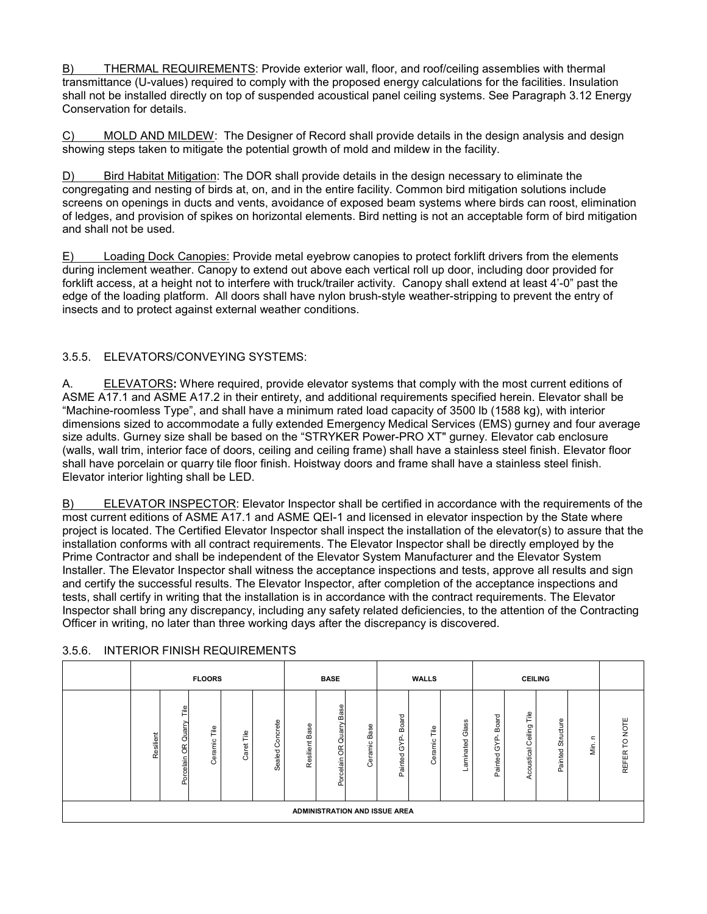B) THERMAL REQUIREMENTS: Provide exterior wall, floor, and roof/ceiling assemblies with thermal transmittance (U-values) required to comply with the proposed energy calculations for the facilities. Insulation shall not be installed directly on top of suspended acoustical panel ceiling systems. See Paragraph 3.12 Energy Conservation for details.

C) MOLD AND MILDEW: The Designer of Record shall provide details in the design analysis and design showing steps taken to mitigate the potential growth of mold and mildew in the facility.

D) Bird Habitat Mitigation: The DOR shall provide details in the design necessary to eliminate the congregating and nesting of birds at, on, and in the entire facility. Common bird mitigation solutions include screens on openings in ducts and vents, avoidance of exposed beam systems where birds can roost, elimination of ledges, and provision of spikes on horizontal elements. Bird netting is not an acceptable form of bird mitigation and shall not be used.

E) Loading Dock Canopies: Provide metal eyebrow canopies to protect forklift drivers from the elements during inclement weather. Canopy to extend out above each vertical roll up door, including door provided for forklift access, at a height not to interfere with truck/trailer activity. Canopy shall extend at least 4'-0" past the edge of the loading platform. All doors shall have nylon brush-style weather-stripping to prevent the entry of insects and to protect against external weather conditions.

## 3.5.5. ELEVATORS/CONVEYING SYSTEMS:

A. ELEVATORS**:** Where required, provide elevator systems that comply with the most current editions of ASME A17.1 and ASME A17.2 in their entirety, and additional requirements specified herein. Elevator shall be "Machine-roomless Type", and shall have a minimum rated load capacity of 3500 lb (1588 kg), with interior dimensions sized to accommodate a fully extended Emergency Medical Services (EMS) gurney and four average size adults. Gurney size shall be based on the "STRYKER Power-PRO XT" gurney. Elevator cab enclosure (walls, wall trim, interior face of doors, ceiling and ceiling frame) shall have a stainless steel finish. Elevator floor shall have porcelain or quarry tile floor finish. Hoistway doors and frame shall have a stainless steel finish. Elevator interior lighting shall be LED.

B) ELEVATOR INSPECTOR: Elevator Inspector shall be certified in accordance with the requirements of the most current editions of ASME A17.1 and ASME QEI-1 and licensed in elevator inspection by the State where project is located. The Certified Elevator Inspector shall inspect the installation of the elevator(s) to assure that the installation conforms with all contract requirements. The Elevator Inspector shall be directly employed by the Prime Contractor and shall be independent of the Elevator System Manufacturer and the Elevator System Installer. The Elevator Inspector shall witness the acceptance inspections and tests, approve all results and sign and certify the successful results. The Elevator Inspector, after completion of the acceptance inspections and tests, shall certify in writing that the installation is in accordance with the contract requirements. The Elevator Inspector shall bring any discrepancy, including any safety related deficiencies, to the attention of the Contracting Officer in writing, no later than three working days after the discrepancy is discovered.

| <b>FLOORS</b> |                                             |                |            |                        | <b>BASE</b>       |                                               |                               | <b>WALLS</b>                        |              |                   |                        |                              |                      |                      |               |
|---------------|---------------------------------------------|----------------|------------|------------------------|-------------------|-----------------------------------------------|-------------------------------|-------------------------------------|--------------|-------------------|------------------------|------------------------------|----------------------|----------------------|---------------|
| Resilient     | Τle<br>Quarry<br>$\frac{1}{2}$<br>Porcelain | Γiθ<br>Ceramic | Ξ<br>Caret | oncrete<br>ပ<br>Sealed | Base<br>Resilient | Base<br>Quarry<br>$\mathfrak{E}$<br>Porcelain | Base<br>Ceramic               | Board<br><u>ri</u><br>79<br>Painted | Ξ<br>Ceramic | Glass<br>aminated | Board<br>79<br>Painted | Tile<br>Ceiling<br>coustical | Structure<br>Painted | $\mathbf{r}$<br>Min. | REFER TO NOTE |
|               |                                             |                |            |                        |                   |                                               | ADMINISTRATION AND ISSUE AREA |                                     |              |                   |                        |                              |                      |                      |               |

### 3.5.6. INTERIOR FINISH REQUIREMENTS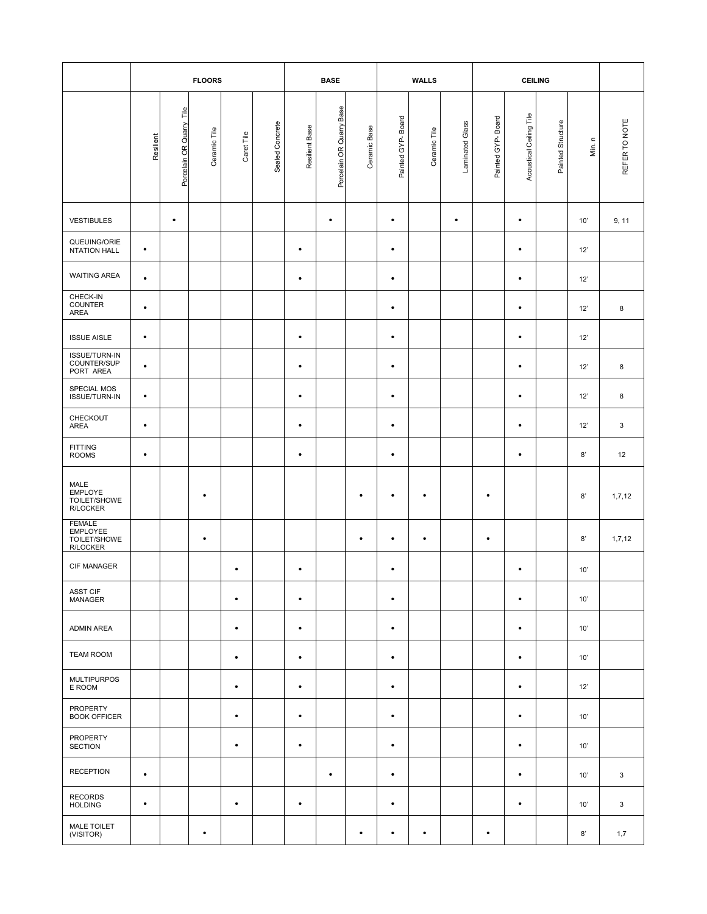|                                                       | <b>FLOORS</b> |                                         |              |            |                 | <b>BASE</b>    |                          |              | <b>WALLS</b>      |              |                 | <b>CEILING</b>    |                         |                   |        |               |
|-------------------------------------------------------|---------------|-----------------------------------------|--------------|------------|-----------------|----------------|--------------------------|--------------|-------------------|--------------|-----------------|-------------------|-------------------------|-------------------|--------|---------------|
|                                                       | Resilient     | $\frac{e}{\Box}$<br>Porcelain OR Quarry | Ceramic Tile | Caret Tile | Sealed Concrete | Resilient Base | Porcelain OR Quarry Base | Ceramic Base | Painted GYP-Board | Ceramic Tile | Laminated Glass | Painted GYP-Board | Acoustical Ceiling Tile | Painted Structure | Min. n | REFER TO NOTE |
| <b>VESTIBULES</b>                                     |               | $\bullet$                               |              |            |                 |                | $\bullet$                |              | $\bullet$         |              | $\bullet$       |                   | $\bullet$               |                   | 10'    | 9, 11         |
| QUEUING/ORIE<br><b>NTATION HALL</b>                   | $\bullet$     |                                         |              |            |                 | $\bullet$      |                          |              | $\bullet$         |              |                 |                   | $\bullet$               |                   | 12'    |               |
| <b>WAITING AREA</b>                                   | $\bullet$     |                                         |              |            |                 | $\bullet$      |                          |              | $\bullet$         |              |                 |                   | $\bullet$               |                   | 12'    |               |
| CHECK-IN<br><b>COUNTER</b><br><b>AREA</b>             | $\bullet$     |                                         |              |            |                 |                |                          |              | $\bullet$         |              |                 |                   | $\bullet$               |                   | 12'    | 8             |
| <b>ISSUE AISLE</b>                                    | $\bullet$     |                                         |              |            |                 | $\bullet$      |                          |              | $\bullet$         |              |                 |                   | $\bullet$               |                   | 12'    |               |
| <b>ISSUE/TURN-IN</b><br>COUNTER/SUP<br>PORT AREA      | $\bullet$     |                                         |              |            |                 | $\bullet$      |                          |              | $\bullet$         |              |                 |                   | $\bullet$               |                   | 12'    | 8             |
| SPECIAL MOS<br>ISSUE/TURN-IN                          | $\bullet$     |                                         |              |            |                 | $\bullet$      |                          |              | $\bullet$         |              |                 |                   | $\bullet$               |                   | 12'    | 8             |
| CHECKOUT<br>AREA                                      | $\bullet$     |                                         |              |            |                 | $\bullet$      |                          |              | $\bullet$         |              |                 |                   | $\bullet$               |                   | 12'    | 3             |
| <b>FITTING</b><br><b>ROOMS</b>                        | $\bullet$     |                                         |              |            |                 | $\bullet$      |                          |              | $\bullet$         |              |                 |                   | $\bullet$               |                   | 8'     | 12            |
| MALE<br>EMPLOYE<br>TOILET/SHOWE<br>R/LOCKER           |               |                                         | ٠            |            |                 |                |                          | $\bullet$    | ٠                 | ٠            |                 | ٠                 |                         |                   | 8'     | 1,7,12        |
| <b>FEMALE</b><br>EMPLOYEE<br>TOILET/SHOWE<br>R/LOCKER |               |                                         | $\bullet$    |            |                 |                |                          | $\bullet$    | $\bullet$         | $\bullet$    |                 | $\bullet$         |                         |                   | 8'     | 1,7,12        |
| CIF MANAGER                                           |               |                                         |              |            |                 | ٠              |                          |              | $\bullet$         |              |                 |                   | $\bullet$               |                   | 10'    |               |
| <b>ASST CIF</b><br>MANAGER                            |               |                                         |              | $\bullet$  |                 | $\bullet$      |                          |              | $\bullet$         |              |                 |                   | $\bullet$               |                   | 10'    |               |
| <b>ADMIN AREA</b>                                     |               |                                         |              | $\bullet$  |                 | $\bullet$      |                          |              | $\bullet$         |              |                 |                   | $\bullet$               |                   | 10'    |               |
| <b>TEAM ROOM</b>                                      |               |                                         |              | $\bullet$  |                 | $\bullet$      |                          |              | $\bullet$         |              |                 |                   | $\bullet$               |                   | 10'    |               |
| <b>MULTIPURPOS</b><br>E ROOM                          |               |                                         |              | $\bullet$  |                 | $\bullet$      |                          |              | $\bullet$         |              |                 |                   | $\bullet$               |                   | 12'    |               |
| PROPERTY<br><b>BOOK OFFICER</b>                       |               |                                         |              | $\bullet$  |                 | $\bullet$      |                          |              | $\bullet$         |              |                 |                   | $\bullet$               |                   | 10'    |               |
| PROPERTY<br><b>SECTION</b>                            |               |                                         |              | $\bullet$  |                 | $\bullet$      |                          |              | $\bullet$         |              |                 |                   | $\bullet$               |                   | 10'    |               |
| <b>RECEPTION</b>                                      | $\bullet$     |                                         |              |            |                 |                | $\bullet$                |              | $\bullet$         |              |                 |                   | $\bullet$               |                   | 10'    | 3             |
| <b>RECORDS</b><br><b>HOLDING</b>                      | $\bullet$     |                                         |              | $\bullet$  |                 | $\bullet$      |                          |              | $\bullet$         |              |                 |                   | $\bullet$               |                   | 10'    | 3             |
| MALE TOILET<br>(VISITOR)                              |               |                                         | $\bullet$    |            |                 |                |                          | $\bullet$    | $\bullet$         | $\bullet$    |                 | $\bullet$         |                         |                   | 8'     | 1,7           |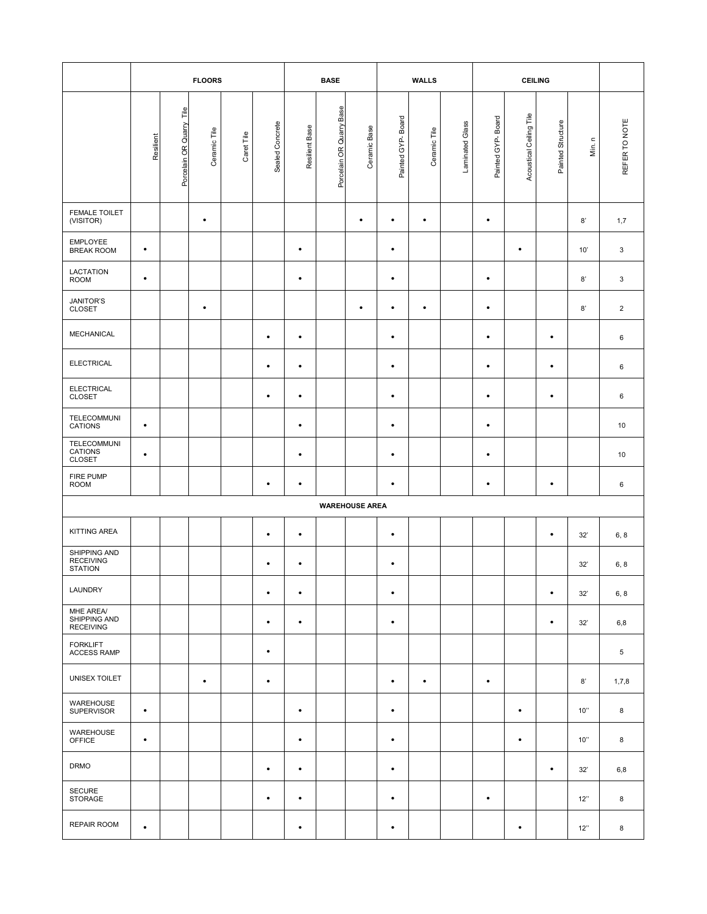|                                                    | <b>FLOORS</b> |                          |              |            |                 | <b>BASE</b>    |                          |                       | <b>WALLS</b>      |              |                 | <b>CEILING</b>    |                         |                   |        |                |
|----------------------------------------------------|---------------|--------------------------|--------------|------------|-----------------|----------------|--------------------------|-----------------------|-------------------|--------------|-----------------|-------------------|-------------------------|-------------------|--------|----------------|
|                                                    | Resilient     | Porcelain OR Quarry Tile | Ceramic Tile | Caret Tile | Sealed Concrete | Resilient Base | Porcelain OR Quarry Base | Ceramic Base          | Painted GYP-Board | Ceramic Tile | Laminated Glass | Painted GYP-Board | Acoustical Ceiling Tile | Painted Structure | Min. n | REFER TO NOTE  |
| FEMALE TOILET<br>(VISITOR)                         |               |                          | $\bullet$    |            |                 |                |                          | $\bullet$             | $\bullet$         | $\bullet$    |                 | $\bullet$         |                         |                   | 8'     | 1,7            |
| <b>EMPLOYEE</b><br><b>BREAK ROOM</b>               | $\bullet$     |                          |              |            |                 | $\bullet$      |                          |                       | $\bullet$         |              |                 |                   | $\bullet$               |                   | 10'    | 3              |
| LACTATION<br><b>ROOM</b>                           | $\bullet$     |                          |              |            |                 | $\bullet$      |                          |                       | $\bullet$         |              |                 | $\bullet$         |                         |                   | 8'     | 3              |
| JANITOR'S<br><b>CLOSET</b>                         |               |                          | $\bullet$    |            |                 |                |                          | $\bullet$             | $\bullet$         | $\bullet$    |                 | $\bullet$         |                         |                   | 8'     | $\overline{2}$ |
| MECHANICAL                                         |               |                          |              |            | $\bullet$       | $\bullet$      |                          |                       | $\bullet$         |              |                 | $\bullet$         |                         | $\bullet$         |        | 6              |
| <b>ELECTRICAL</b>                                  |               |                          |              |            | $\bullet$       | $\bullet$      |                          |                       | $\bullet$         |              |                 | $\bullet$         |                         | $\bullet$         |        | 6              |
| <b>ELECTRICAL</b><br><b>CLOSET</b>                 |               |                          |              |            | $\bullet$       | $\bullet$      |                          |                       | $\bullet$         |              |                 | $\bullet$         |                         | $\bullet$         |        | 6              |
| TELECOMMUNI<br>CATIONS                             | $\bullet$     |                          |              |            |                 | $\bullet$      |                          |                       | $\bullet$         |              |                 | $\bullet$         |                         |                   |        | 10             |
| TELECOMMUNI<br>CATIONS<br><b>CLOSET</b>            | $\bullet$     |                          |              |            |                 | $\bullet$      |                          |                       | $\bullet$         |              |                 | $\bullet$         |                         |                   |        | 10             |
| FIRE PUMP<br><b>ROOM</b>                           |               |                          |              |            | $\bullet$       | $\bullet$      |                          |                       | $\bullet$         |              |                 | $\bullet$         |                         | $\bullet$         |        | 6              |
|                                                    |               |                          |              |            |                 |                |                          | <b>WAREHOUSE AREA</b> |                   |              |                 |                   |                         |                   |        |                |
| KITTING AREA                                       |               |                          |              |            | $\bullet$       | $\bullet$      |                          |                       | $\bullet$         |              |                 |                   |                         | $\bullet$         | 32'    | 6, 8           |
| SHIPPING AND<br><b>RECEIVING</b><br><b>STATION</b> |               |                          |              |            | $\bullet$       | $\bullet$      |                          |                       | $\bullet$         |              |                 |                   |                         |                   | 32'    | 6, 8           |
| LAUNDRY                                            |               |                          |              |            | $\bullet$       | $\bullet$      |                          |                       | $\bullet$         |              |                 |                   |                         | $\bullet$         | 32'    | 6, 8           |
| MHE AREA/<br>SHIPPING AND<br><b>RECEIVING</b>      |               |                          |              |            | $\bullet$       | $\bullet$      |                          |                       | $\bullet$         |              |                 |                   |                         | $\bullet$         | 32'    | 6,8            |
| <b>FORKLIFT</b><br><b>ACCESS RAMP</b>              |               |                          |              |            | $\bullet$       |                |                          |                       |                   |              |                 |                   |                         |                   |        | 5              |
| UNISEX TOILET                                      |               |                          | $\bullet$    |            | $\bullet$       |                |                          |                       | $\bullet$         | $\bullet$    |                 | $\bullet$         |                         |                   | 8'     | 1,7,8          |
| WAREHOUSE<br><b>SUPERVISOR</b>                     | $\bullet$     |                          |              |            |                 | $\bullet$      |                          |                       | $\bullet$         |              |                 |                   | $\bullet$               |                   | 10"    | 8              |
| WAREHOUSE<br><b>OFFICE</b>                         | $\bullet$     |                          |              |            |                 | $\bullet$      |                          |                       | $\bullet$         |              |                 |                   | $\bullet$               |                   | 10"    | 8              |
| <b>DRMO</b>                                        |               |                          |              |            | $\bullet$       | $\bullet$      |                          |                       | $\bullet$         |              |                 |                   |                         | $\bullet$         | 32'    | 6,8            |
| <b>SECURE</b><br><b>STORAGE</b>                    |               |                          |              |            | $\bullet$       | $\bullet$      |                          |                       | $\bullet$         |              |                 | $\bullet$         |                         |                   | 12"    | 8              |
| <b>REPAIR ROOM</b>                                 | $\bullet$     |                          |              |            |                 | $\bullet$      |                          |                       | $\bullet$         |              |                 |                   | $\bullet$               |                   | 12"    | 8              |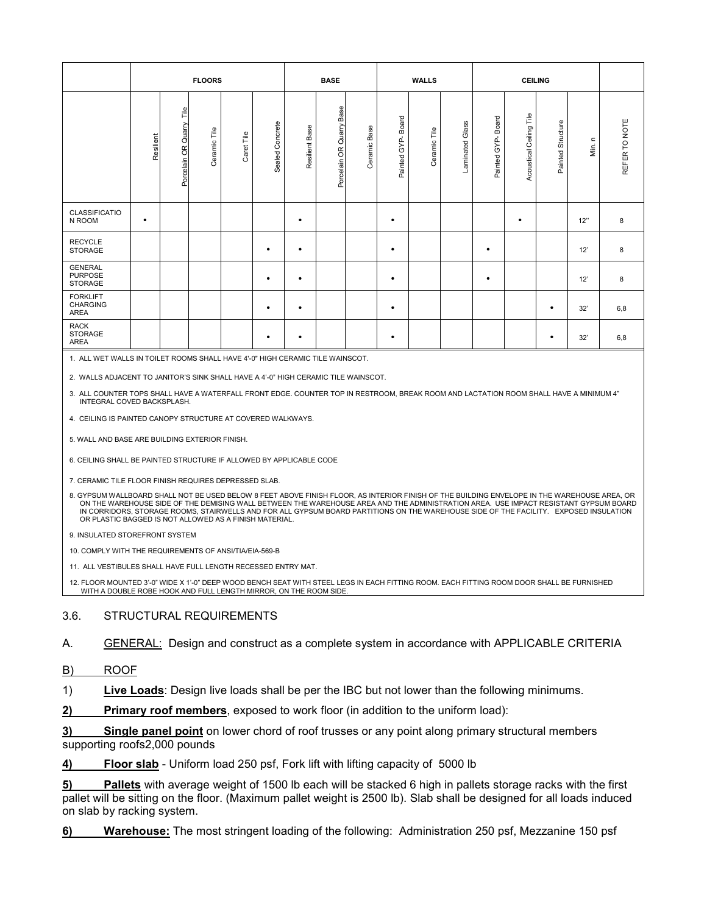|                                                    | <b>FLOORS</b> |                                             |              |            |                    | <b>BASE</b>    |                                   |                        | <b>WALLS</b>             |              |                    | <b>CEILING</b>            |                            |                   |                                  |               |
|----------------------------------------------------|---------------|---------------------------------------------|--------------|------------|--------------------|----------------|-----------------------------------|------------------------|--------------------------|--------------|--------------------|---------------------------|----------------------------|-------------------|----------------------------------|---------------|
|                                                    | Resilient     | Τle<br>Quarry<br>$\frac{1}{2}$<br>Porcelain | Ceramic Tile | Caret Tile | Concrete<br>Sealed | Resilient Base | Base<br>Quarry<br>6Ř<br>Porcelain | Base<br><b>Ceramic</b> | Board<br>GYP-<br>Painted | Ceramic Tile | Glass<br>Laminated | Board<br>GYP-I<br>Painted | Tile<br>Acoustical Ceiling | Painted Structure | $\mathord{\text{\rm c}}$<br>Μiη. | REFER TO NOTE |
| CLASSIFICATIO<br>N ROOM                            | $\bullet$     |                                             |              |            |                    | $\bullet$      |                                   |                        | $\bullet$                |              |                    |                           | ٠                          |                   | 12"                              | 8             |
| <b>RECYCLE</b><br>STORAGE                          |               |                                             |              |            | $\bullet$          | $\bullet$      |                                   |                        | $\bullet$                |              |                    | $\bullet$                 |                            |                   | 12'                              | 8             |
| <b>GENERAL</b><br><b>PURPOSE</b><br><b>STORAGE</b> |               |                                             |              |            | $\bullet$          | $\bullet$      |                                   |                        | $\bullet$                |              |                    | $\bullet$                 |                            |                   | 12'                              | 8             |
| <b>FORKLIFT</b><br>CHARGING<br>AREA                |               |                                             |              |            | $\bullet$          | $\bullet$      |                                   |                        | $\bullet$                |              |                    |                           |                            | $\bullet$         | 32'                              | 6,8           |
| <b>RACK</b><br><b>STORAGE</b><br>AREA              |               |                                             |              |            | $\bullet$          | ٠              |                                   |                        | ٠                        |              |                    |                           |                            | ٠                 | 32'                              | 6,8           |

1. ALL WET WALLS IN TOILET ROOMS SHALL HAVE 4'-0" HIGH CERAMIC TILE WAINSCOT.

2. WALLS ADJACENT TO JANITOR'S SINK SHALL HAVE A 4'-0" HIGH CERAMIC TILE WAINSCOT.

3. ALL COUNTER TOPS SHALL HAVE A WATERFALL FRONT EDGE. COUNTER TOP IN RESTROOM, BREAK ROOM AND LACTATION ROOM SHALL HAVE A MINIMUM 4" INTEGRAL COVED BACKSPLASH.

4. CEILING IS PAINTED CANOPY STRUCTURE AT COVERED WALKWAYS.

5. WALL AND BASE ARE BUILDING EXTERIOR FINISH.

6. CEILING SHALL BE PAINTED STRUCTURE IF ALLOWED BY APPLICABLE CODE

7. CERAMIC TILE FLOOR FINISH REQUIRES DEPRESSED SLAB.

8. GYPSUM WALLBOARD SHALL NOT BE USED BELOW 8 FEET ABOVE FINISH FLOOR, AS INTERIOR FINISH OF THE BUILDING ENVELOPE IN THE WAREHOUSE AREA, OR ON THE WAREHOUSE SIDE OF THE DEMISING WALL BETWEEN THE WAREHOUSE AREA AND THE ADMINISTRATION AREA. USE IMPACT RESISTANT GYPSUM BOARD IN CORRIDORS, STORAGE ROOMS, STAIRWELLS AND FOR ALL GYPSUM BOARD PARTITIONS ON THE WAREHOUSE SIDE OF THE FACILITY. EXPOSED INSULATION OR PLASTIC BAGGED IS NOT ALLOWED AS A FINISH MATERIAL.

9. INSULATED STOREFRONT SYSTEM

10. COMPLY WITH THE REQUIREMENTS OF ANSI/TIA/EIA-569-B

11. ALL VESTIBULES SHALL HAVE FULL LENGTH RECESSED ENTRY MAT.

12. FLOOR MOUNTED 3'-0" WIDE X 1'-0" DEEP WOOD BENCH SEAT WITH STEEL LEGS IN EACH FITTING ROOM. EACH FITTING ROOM DOOR SHALL BE FURNISHED WITH A DOUBLE ROBE HOOK AND FULL LENGTH MIRROR, ON THE ROOM SIDE.

#### 3.6. STRUCTURAL REQUIREMENTS

A. GENERAL: Design and construct as a complete system in accordance with APPLICABLE CRITERIA

B) ROOF

1) **Live Loads**: Design live loads shall be per the IBC but not lower than the following minimums.

**2) Primary roof members**, exposed to work floor (in addition to the uniform load):

**3) Single panel point** on lower chord of roof trusses or any point along primary structural members supporting roofs2,000 pounds

**4) Floor slab** - Uniform load 250 psf, Fork lift with lifting capacity of 5000 lb

**5) Pallets** with average weight of 1500 lb each will be stacked 6 high in pallets storage racks with the first pallet will be sitting on the floor. (Maximum pallet weight is 2500 lb). Slab shall be designed for all loads induced on slab by racking system.

**6) Warehouse:** The most stringent loading of the following: Administration 250 psf, Mezzanine 150 psf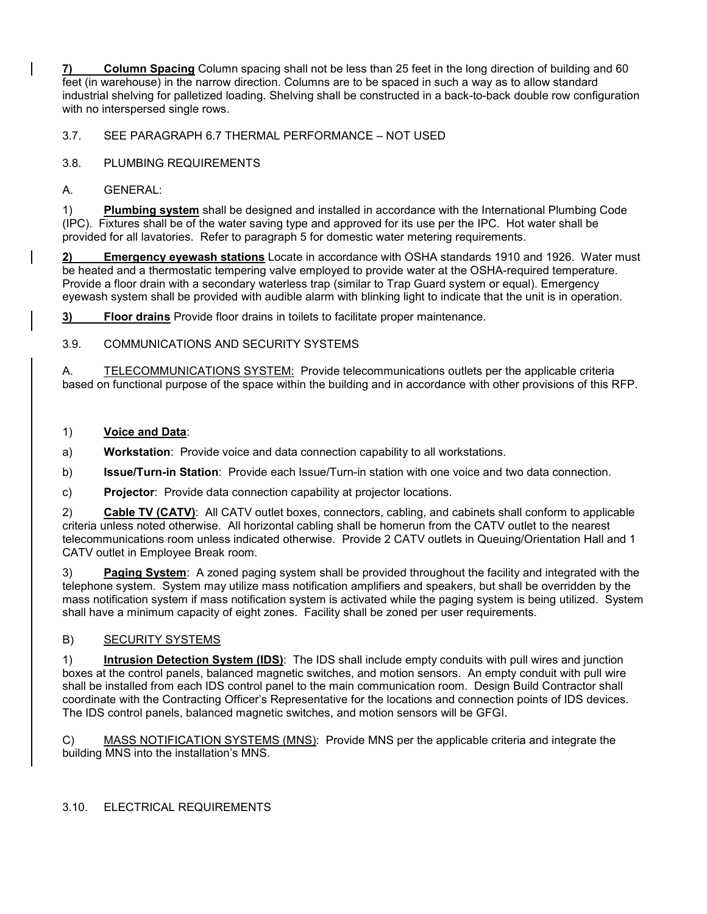**7) Column Spacing** Column spacing shall not be less than 25 feet in the long direction of building and 60 feet (in warehouse) in the narrow direction. Columns are to be spaced in such a way as to allow standard industrial shelving for palletized loading. Shelving shall be constructed in a back-to-back double row configuration with no interspersed single rows.

3.7. SEE PARAGRAPH 6.7 THERMAL PERFORMANCE – NOT USED

3.8. PLUMBING REQUIREMENTS

A. GENERAL:

1) **Plumbing system** shall be designed and installed in accordance with the International Plumbing Code (IPC). Fixtures shall be of the water saving type and approved for its use per the IPC. Hot water shall be provided for all lavatories. Refer to paragraph 5 for domestic water metering requirements.

**2) Emergency eyewash stations** Locate in accordance with OSHA standards 1910 and 1926. Water must be heated and a thermostatic tempering valve employed to provide water at the OSHA-required temperature. Provide a floor drain with a secondary waterless trap (similar to Trap Guard system or equal). Emergency eyewash system shall be provided with audible alarm with blinking light to indicate that the unit is in operation.

**3) Floor drains** Provide floor drains in toilets to facilitate proper maintenance.

3.9. COMMUNICATIONS AND SECURITY SYSTEMS

A. TELECOMMUNICATIONS SYSTEM: Provide telecommunications outlets per the applicable criteria based on functional purpose of the space within the building and in accordance with other provisions of this RFP.

1) **Voice and Data**:

a) **Workstation**: Provide voice and data connection capability to all workstations.

b) **Issue/Turn-in Station**: Provide each Issue/Turn-in station with one voice and two data connection.

c) **Projector**: Provide data connection capability at projector locations.

2) **Cable TV (CATV)**: All CATV outlet boxes, connectors, cabling, and cabinets shall conform to applicable criteria unless noted otherwise. All horizontal cabling shall be homerun from the CATV outlet to the nearest telecommunications room unless indicated otherwise. Provide 2 CATV outlets in Queuing/Orientation Hall and 1 CATV outlet in Employee Break room.

3) **Paging System**: A zoned paging system shall be provided throughout the facility and integrated with the telephone system. System may utilize mass notification amplifiers and speakers, but shall be overridden by the mass notification system if mass notification system is activated while the paging system is being utilized. System shall have a minimum capacity of eight zones. Facility shall be zoned per user requirements.

### B) SECURITY SYSTEMS

1) **Intrusion Detection System (IDS)**: The IDS shall include empty conduits with pull wires and junction boxes at the control panels, balanced magnetic switches, and motion sensors. An empty conduit with pull wire shall be installed from each IDS control panel to the main communication room. Design Build Contractor shall coordinate with the Contracting Officer's Representative for the locations and connection points of IDS devices. The IDS control panels, balanced magnetic switches, and motion sensors will be GFGI.

C) MASS NOTIFICATION SYSTEMS (MNS): Provide MNS per the applicable criteria and integrate the building MNS into the installation's MNS.

### 3.10. ELECTRICAL REQUIREMENTS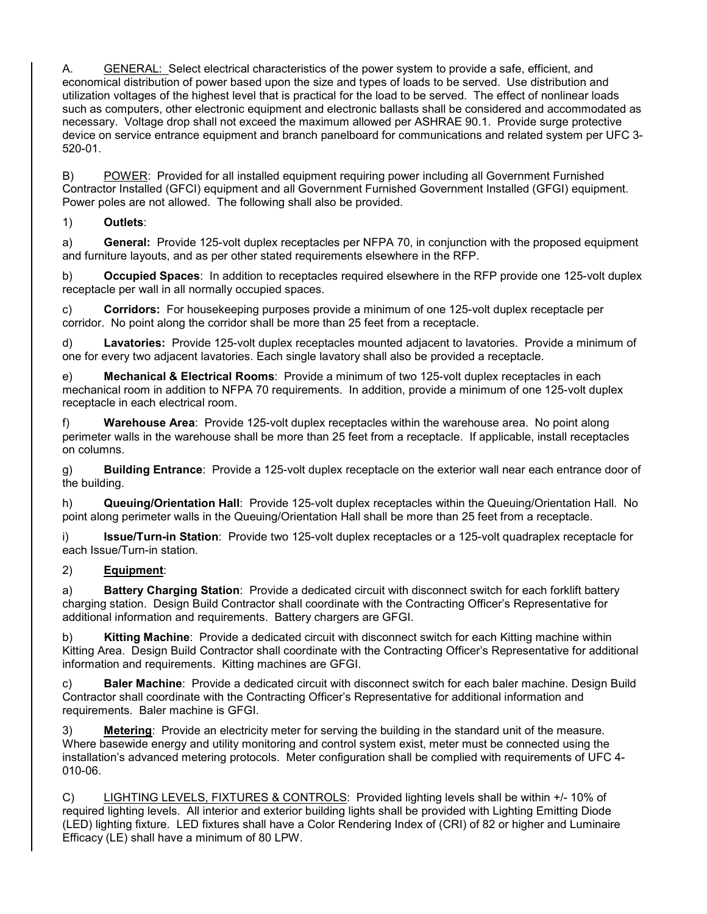A. GENERAL: Select electrical characteristics of the power system to provide a safe, efficient, and economical distribution of power based upon the size and types of loads to be served. Use distribution and utilization voltages of the highest level that is practical for the load to be served. The effect of nonlinear loads such as computers, other electronic equipment and electronic ballasts shall be considered and accommodated as necessary. Voltage drop shall not exceed the maximum allowed per ASHRAE 90.1. Provide surge protective device on service entrance equipment and branch panelboard for communications and related system per UFC 3- 520-01.

B) POWER: Provided for all installed equipment requiring power including all Government Furnished Contractor Installed (GFCI) equipment and all Government Furnished Government Installed (GFGI) equipment. Power poles are not allowed. The following shall also be provided.

## 1) **Outlets**:

a) **General:** Provide 125-volt duplex receptacles per NFPA 70, in conjunction with the proposed equipment and furniture layouts, and as per other stated requirements elsewhere in the RFP.

b) **Occupied Spaces**: In addition to receptacles required elsewhere in the RFP provide one 125-volt duplex receptacle per wall in all normally occupied spaces.

c) **Corridors:** For housekeeping purposes provide a minimum of one 125-volt duplex receptacle per corridor. No point along the corridor shall be more than 25 feet from a receptacle.

d) **Lavatories:** Provide 125-volt duplex receptacles mounted adjacent to lavatories. Provide a minimum of one for every two adjacent lavatories. Each single lavatory shall also be provided a receptacle.

e) **Mechanical & Electrical Rooms**: Provide a minimum of two 125-volt duplex receptacles in each mechanical room in addition to NFPA 70 requirements. In addition, provide a minimum of one 125-volt duplex receptacle in each electrical room.

f) **Warehouse Area**: Provide 125-volt duplex receptacles within the warehouse area. No point along perimeter walls in the warehouse shall be more than 25 feet from a receptacle. If applicable, install receptacles on columns.

g) **Building Entrance**: Provide a 125-volt duplex receptacle on the exterior wall near each entrance door of the building.

h) **Queuing/Orientation Hall**: Provide 125-volt duplex receptacles within the Queuing/Orientation Hall. No point along perimeter walls in the Queuing/Orientation Hall shall be more than 25 feet from a receptacle.

i) **Issue/Turn-in Station**: Provide two 125-volt duplex receptacles or a 125-volt quadraplex receptacle for each Issue/Turn-in station.

### 2) **Equipment**:

a) **Battery Charging Station**: Provide a dedicated circuit with disconnect switch for each forklift battery charging station. Design Build Contractor shall coordinate with the Contracting Officer's Representative for additional information and requirements. Battery chargers are GFGI.

b) **Kitting Machine**: Provide a dedicated circuit with disconnect switch for each Kitting machine within Kitting Area. Design Build Contractor shall coordinate with the Contracting Officer's Representative for additional information and requirements. Kitting machines are GFGI.

c) **Baler Machine**: Provide a dedicated circuit with disconnect switch for each baler machine. Design Build Contractor shall coordinate with the Contracting Officer's Representative for additional information and requirements. Baler machine is GFGI.

3) **Metering**: Provide an electricity meter for serving the building in the standard unit of the measure. Where basewide energy and utility monitoring and control system exist, meter must be connected using the installation's advanced metering protocols. Meter configuration shall be complied with requirements of UFC 4- 010-06.

C) LIGHTING LEVELS, FIXTURES & CONTROLS: Provided lighting levels shall be within +/- 10% of required lighting levels. All interior and exterior building lights shall be provided with Lighting Emitting Diode (LED) lighting fixture. LED fixtures shall have a Color Rendering Index of (CRI) of 82 or higher and Luminaire Efficacy (LE) shall have a minimum of 80 LPW.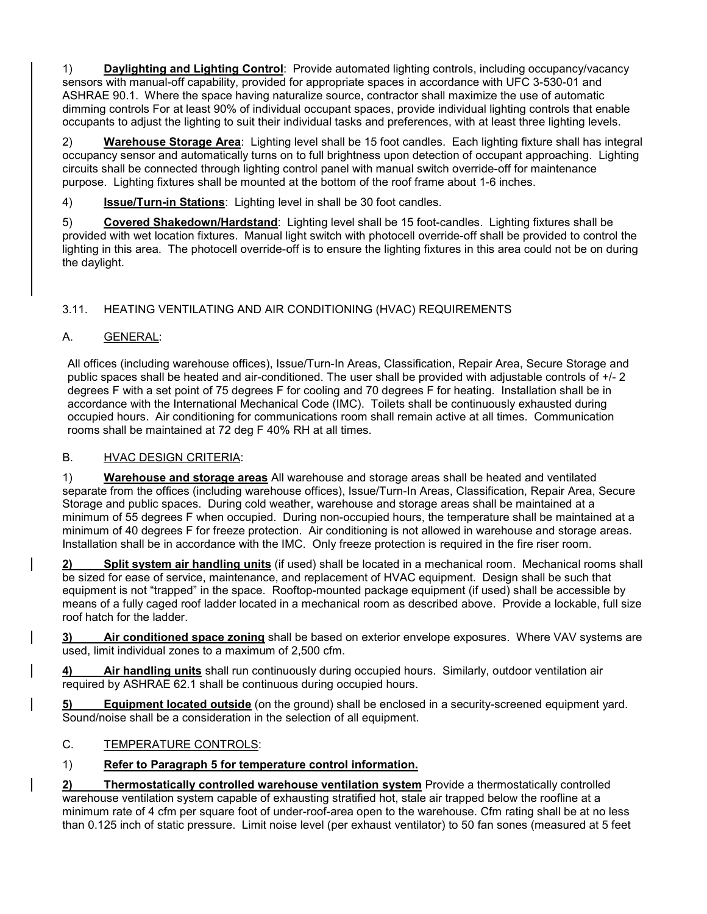1) **Daylighting and Lighting Control**: Provide automated lighting controls, including occupancy/vacancy sensors with manual-off capability, provided for appropriate spaces in accordance with UFC 3-530-01 and ASHRAE 90.1. Where the space having naturalize source, contractor shall maximize the use of automatic dimming controls For at least 90% of individual occupant spaces, provide individual lighting controls that enable occupants to adjust the lighting to suit their individual tasks and preferences, with at least three lighting levels.

2) **Warehouse Storage Area**: Lighting level shall be 15 foot candles. Each lighting fixture shall has integral occupancy sensor and automatically turns on to full brightness upon detection of occupant approaching. Lighting circuits shall be connected through lighting control panel with manual switch override-off for maintenance purpose. Lighting fixtures shall be mounted at the bottom of the roof frame about 1-6 inches.

4) **Issue/Turn-in Stations**: Lighting level in shall be 30 foot candles.

5) **Covered Shakedown/Hardstand**: Lighting level shall be 15 foot-candles. Lighting fixtures shall be provided with wet location fixtures. Manual light switch with photocell override-off shall be provided to control the lighting in this area. The photocell override-off is to ensure the lighting fixtures in this area could not be on during the daylight.

# 3.11. HEATING VENTILATING AND AIR CONDITIONING (HVAC) REQUIREMENTS

# A. GENERAL:

All offices (including warehouse offices), Issue/Turn-In Areas, Classification, Repair Area, Secure Storage and public spaces shall be heated and air-conditioned. The user shall be provided with adjustable controls of +/- 2 degrees F with a set point of 75 degrees F for cooling and 70 degrees F for heating. Installation shall be in accordance with the International Mechanical Code (IMC). Toilets shall be continuously exhausted during occupied hours. Air conditioning for communications room shall remain active at all times. Communication rooms shall be maintained at 72 deg F 40% RH at all times.

# B. HVAC DESIGN CRITERIA:

1) **Warehouse and storage areas** All warehouse and storage areas shall be heated and ventilated separate from the offices (including warehouse offices), Issue/Turn-In Areas, Classification, Repair Area, Secure Storage and public spaces. During cold weather, warehouse and storage areas shall be maintained at a minimum of 55 degrees F when occupied. During non-occupied hours, the temperature shall be maintained at a minimum of 40 degrees F for freeze protection. Air conditioning is not allowed in warehouse and storage areas. Installation shall be in accordance with the IMC. Only freeze protection is required in the fire riser room.

**2) Split system air handling units** (if used) shall be located in a mechanical room. Mechanical rooms shall be sized for ease of service, maintenance, and replacement of HVAC equipment. Design shall be such that equipment is not "trapped" in the space. Rooftop-mounted package equipment (if used) shall be accessible by means of a fully caged roof ladder located in a mechanical room as described above. Provide a lockable, full size roof hatch for the ladder.

**3) Air conditioned space zoning** shall be based on exterior envelope exposures. Where VAV systems are used, limit individual zones to a maximum of 2,500 cfm.

**4) Air handling units** shall run continuously during occupied hours. Similarly, outdoor ventilation air required by ASHRAE 62.1 shall be continuous during occupied hours.

**5) Equipment located outside** (on the ground) shall be enclosed in a security-screened equipment yard. Sound/noise shall be a consideration in the selection of all equipment.

# C. TEMPERATURE CONTROLS:

# 1) **Refer to Paragraph 5 for temperature control information.**

**2) Thermostatically controlled warehouse ventilation system** Provide a thermostatically controlled warehouse ventilation system capable of exhausting stratified hot, stale air trapped below the roofline at a minimum rate of 4 cfm per square foot of under-roof-area open to the warehouse. Cfm rating shall be at no less than 0.125 inch of static pressure. Limit noise level (per exhaust ventilator) to 50 fan sones (measured at 5 feet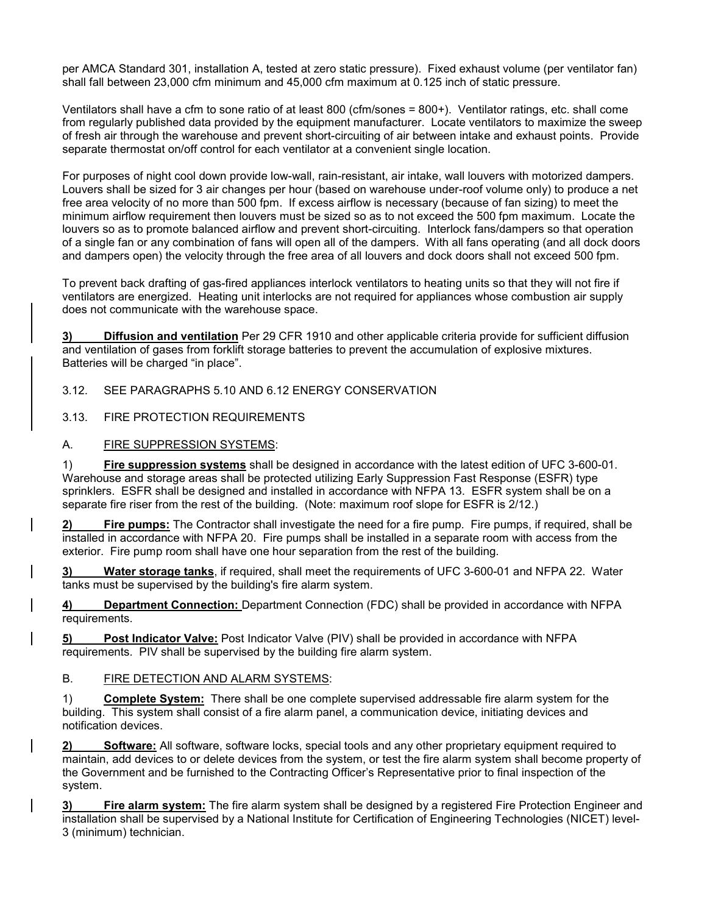per AMCA Standard 301, installation A, tested at zero static pressure). Fixed exhaust volume (per ventilator fan) shall fall between 23,000 cfm minimum and 45,000 cfm maximum at 0.125 inch of static pressure.

Ventilators shall have a cfm to sone ratio of at least 800 (cfm/sones = 800+). Ventilator ratings, etc. shall come from regularly published data provided by the equipment manufacturer. Locate ventilators to maximize the sweep of fresh air through the warehouse and prevent short-circuiting of air between intake and exhaust points. Provide separate thermostat on/off control for each ventilator at a convenient single location.

For purposes of night cool down provide low-wall, rain-resistant, air intake, wall louvers with motorized dampers. Louvers shall be sized for 3 air changes per hour (based on warehouse under-roof volume only) to produce a net free area velocity of no more than 500 fpm. If excess airflow is necessary (because of fan sizing) to meet the minimum airflow requirement then louvers must be sized so as to not exceed the 500 fpm maximum. Locate the louvers so as to promote balanced airflow and prevent short-circuiting. Interlock fans/dampers so that operation of a single fan or any combination of fans will open all of the dampers. With all fans operating (and all dock doors and dampers open) the velocity through the free area of all louvers and dock doors shall not exceed 500 fpm.

To prevent back drafting of gas-fired appliances interlock ventilators to heating units so that they will not fire if ventilators are energized. Heating unit interlocks are not required for appliances whose combustion air supply does not communicate with the warehouse space.

**3) Diffusion and ventilation** Per 29 CFR 1910 and other applicable criteria provide for sufficient diffusion and ventilation of gases from forklift storage batteries to prevent the accumulation of explosive mixtures. Batteries will be charged "in place".

3.12. SEE PARAGRAPHS 5.10 AND 6.12 ENERGY CONSERVATION

3.13. FIRE PROTECTION REQUIREMENTS

A. FIRE SUPPRESSION SYSTEMS:

1) **Fire suppression systems** shall be designed in accordance with the latest edition of UFC 3-600-01. Warehouse and storage areas shall be protected utilizing Early Suppression Fast Response (ESFR) type sprinklers. ESFR shall be designed and installed in accordance with NFPA 13. ESFR system shall be on a separate fire riser from the rest of the building. (Note: maximum roof slope for ESFR is 2/12.)

**2) Fire pumps:** The Contractor shall investigate the need for a fire pump. Fire pumps, if required, shall be installed in accordance with NFPA 20. Fire pumps shall be installed in a separate room with access from the exterior. Fire pump room shall have one hour separation from the rest of the building.

**3) Water storage tanks**, if required, shall meet the requirements of UFC 3-600-01 and NFPA 22. Water tanks must be supervised by the building's fire alarm system.

**4) Department Connection:** Department Connection (FDC) shall be provided in accordance with NFPA requirements.

**5) Post Indicator Valve:** Post Indicator Valve (PIV) shall be provided in accordance with NFPA requirements. PIV shall be supervised by the building fire alarm system.

### B. FIRE DETECTION AND ALARM SYSTEMS:

1) **Complete System:** There shall be one complete supervised addressable fire alarm system for the building. This system shall consist of a fire alarm panel, a communication device, initiating devices and notification devices.

**2) Software:** All software, software locks, special tools and any other proprietary equipment required to maintain, add devices to or delete devices from the system, or test the fire alarm system shall become property of the Government and be furnished to the Contracting Officer's Representative prior to final inspection of the system.

**3) Fire alarm system:** The fire alarm system shall be designed by a registered Fire Protection Engineer and installation shall be supervised by a National Institute for Certification of Engineering Technologies (NICET) level-3 (minimum) technician.